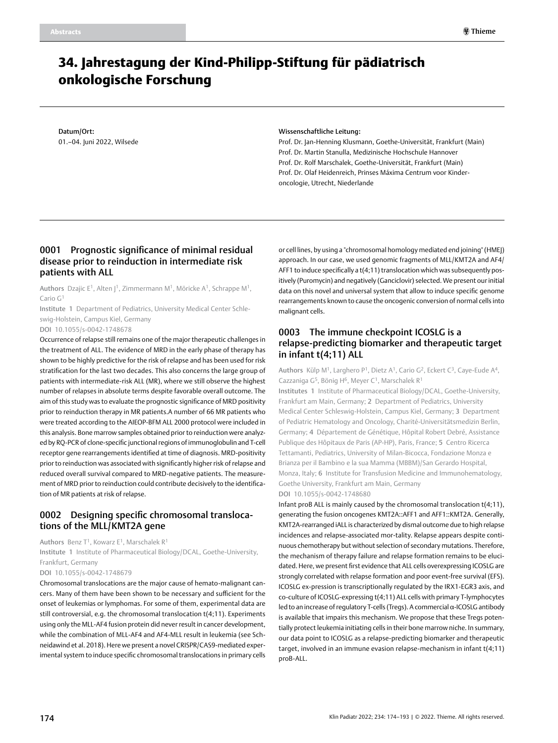# 34. Jahrestagung der Kind-Philipp-Stiftung für pädiatrisch onkologische Forschung

Datum/Ort: 01.–04. Juni 2022, Wilsede

#### Wissenschaftliche Leitung:

Prof. Dr. Jan-Henning Klusmann, Goethe-Universität, Frankfurt (Main) Prof. Dr. Martin Stanulla, Medizinische Hochschule Hannover Prof. Dr. Rolf Marschalek, Goethe-Universität, Frankfurt (Main) Prof. Dr. Olaf Heidenreich, Prinses Máxima Centrum voor Kinderoncologie, Utrecht, Niederlande

### 0001 Prognostic significance of minimal residual disease prior to reinduction in intermediate risk patients with ALL

Authors Dzajic E<sup>1</sup>, Alten |<sup>1</sup>, Zimmermann M<sup>1</sup>, Möricke A<sup>1</sup>, Schrappe M<sup>1</sup>, Cario G<sub>1</sub>

Institute 1 Department of Pediatrics, University Medical Center Schleswig-Holstein, Campus Kiel, Germany

DOI 10.1055/s-0042-1748678

Occurrence of relapse still remains one of the major therapeutic challenges in the treatment of ALL. The evidence of MRD in the early phase of therapy has shown to be highly predictive for the risk of relapse and has been used for risk stratification for the last two decades. This also concerns the large group of patients with intermediate-risk ALL (MR), where we still observe the highest number of relapses in absolute terms despite favorable overall outcome. The aim of this study was to evaluate the prognostic significance of MRD positivity prior to reinduction therapy in MR patients.A number of 66 MR patients who were treated according to the AIEOP-BFM ALL 2000 protocol were included in this analysis. Bone marrow samples obtained prior to reinduction were analyzed by RQ-PCR of clone-specific junctional regions of immunoglobulin and T-cell receptor gene rearrangements identified at time of diagnosis. MRD-positivity prior to reinduction was associated with significantly higher risk of relapse and reduced overall survival compared to MRD-negative patients. The measurement of MRD prior to reinduction could contribute decisively to the identification of MR patients at risk of relapse.

#### 0002 Designing specific chromosomal translocations of the MLL/KMT2A gene

Authors Benz T<sup>1</sup>, Kowarz E<sup>1</sup>, Marschalek R<sup>1</sup> Institute 1 Institute of Pharmaceutical Biology/DCAL, Goethe-University, Frankfurt, Germany

DOI 10.1055/s-0042-1748679

Chromosomal translocations are the major cause of hemato-malignant cancers. Many of them have been shown to be necessary and sufficient for the onset of leukemias or lymphomas. For some of them, experimental data are still controversial, e.g. the chromosomal translocation t(4;11). Experiments using only the MLL-AF4 fusion protein did never result in cancer development, while the combination of MLL-AF4 and AF4-MLL result in leukemia (see Schneidawind et al. 2018). Here we present a novel CRISPR/CAS9-mediated experimental system to induce specific chromosomal translocations in primary cells

or cell lines, by using a "chromosomal homology mediated end joining" (HMEJ) approach. In our case, we used genomic fragments of MLL/KMT2A and AF4/ AFF1 to induce specifically a t(4;11) translocation which was subsequently positively (Puromycin) and negatively (Ganciclovir) selected. We present our initial data on this novel and universal system that allow to induce specific genome rearrangements known to cause the oncogenic conversion of normal cells into malignant cells.

# 0003 The immune checkpoint ICOSLG is a relapse-predicting biomarker and therapeutic target in infant t(4;11) ALL

Authors Külp M<sup>1</sup>, Larghero P<sup>1</sup>, Dietz A<sup>1</sup>, Cario G<sup>2</sup>, Eckert C<sup>3</sup>, Caye-Eude A<sup>4</sup>, Cazzaniga G<sup>5</sup>, Bönig H<sup>6</sup>, Meyer C<sup>1</sup>, Marschalek R<sup>1</sup>

Institutes 1 Institute of Pharmaceutical Biology/DCAL, Goethe-University, Frankfurt am Main, Germany; 2 Department of Pediatrics, University Medical Center Schleswig-Holstein, Campus Kiel, Germany; 3 Department of Pediatric Hematology and Oncology, Charité-Universitätsmedizin Berlin, Germany; 4 Département de Génétique, Hôpital Robert Debré, Assistance Publique des Hôpitaux de Paris (AP-HP), Paris, France; 5 Centro Ricerca Tettamanti, Pediatrics, University of Milan-Bicocca, Fondazione Monza e Brianza per il Bambino e la sua Mamma (MBBM)/San Gerardo Hospital, Monza, Italy; 6 Institute for Transfusion Medicine and Immunohematology, Goethe University, Frankfurt am Main, Germany DOI 10.1055/s-0042-1748680

Infant proB ALL is mainly caused by the chromosomal translocation t(4;11), generating the fusion oncogenes KMT2A::AFF1 and AFF1::KMT2A. Generally, KMT2A-rearranged iALL is characterized by dismal outcome due to high relapse incidences and relapse-associated mor-tality. Relapse appears despite continuous chemotherapy but without selection of secondary mutations. Therefore, the mechanism of therapy failure and relapse formation remains to be elucidated. Here, we present first evidence that ALL cells overexpressing ICOSLG are strongly correlated with relapse formation and poor event-free survival (EFS). ICOSLG ex-pression is transcriptionally regulated by the IRX1-EGR3 axis, and co-culture of ICOSLG-expressing t(4;11) ALL cells with primary T-lymphocytes led to an increase of regulatory T-cells (Tregs). A commercial α-ICOSLG antibody is available that impairs this mechanism. We propose that these Tregs potentially protect leukemia initiating cells in their bone marrow niche. In summary, our data point to ICOSLG as a relapse-predicting biomarker and therapeutic target, involved in an immune evasion relapse-mechanism in infant t(4;11) proB-ALL.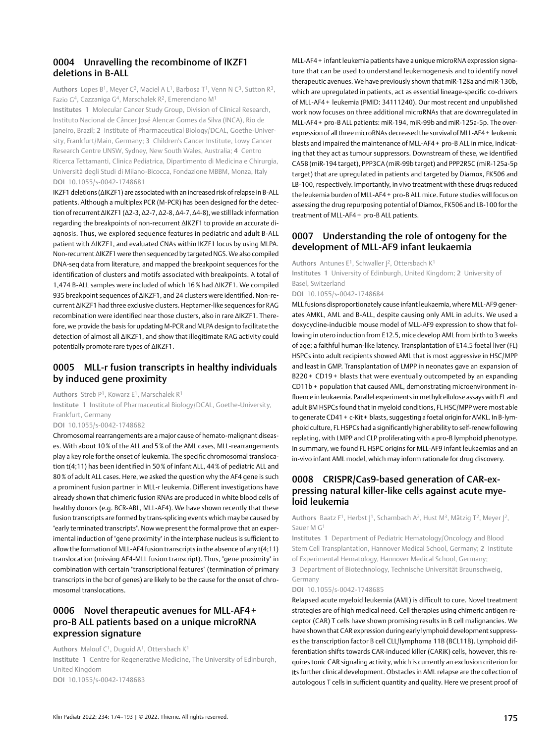#### 0004 Unravelling the recombinome of IKZF1 deletions in B-ALL

Authors Lopes B<sup>1</sup>, Meyer C<sup>2</sup>, Maciel A L<sup>1</sup>, Barbosa T<sup>1</sup>, Venn N C<sup>3</sup>, Sutton R<sup>3</sup>, Fazio G4, Cazzaniga G4, Marschalek R2, Emerenciano M1

Institutes 1 Molecular Cancer Study Group, Division of Clinical Research, Instituto Nacional de Câncer José Alencar Gomes da Silva (INCA), Rio de Janeiro, Brazil; 2 Institute of Pharmaceutical Biology/DCAL, Goethe-University, Frankfurt/Main, Germany; 3 Children's Cancer Institute, Lowy Cancer Research Centre UNSW, Sydney, New South Wales, Australia; 4 Centro Ricerca Tettamanti, Clinica Pediatrica, Dipartimento di Medicina e Chirurgia, Università degli Studi di Milano-Bicocca, Fondazione MBBM, Monza, Italy DOI 10.1055/s-0042-1748681

IKZF1 deletions (ΔIKZF1) are associated with an increased risk of relapse in B-ALL patients. Although a multiplex PCR (M-PCR) has been designed for the detection of recurrent ΔIKZF1 (Δ2-3, Δ2-7, Δ2-8, Δ4-7, Δ4-8), we still lack information regarding the breakpoints of non-recurrent ΔIKZF1 to provide an accurate diagnosis. Thus, we explored sequence features in pediatric and adult B-ALL patient with ∆IKZF1, and evaluated CNAs within IKZF1 locus by using MLPA. Non-recurrent ΔIKZF1 were then sequenced by targeted NGS. We also compiled DNA-seq data from literature, and mapped the breakpoint sequences for the identification of clusters and motifs associated with breakpoints. A total of 1,474 B-ALL samples were included of which 16% had ΔIKZF1. We compiled 935 breakpoint sequences of ΔIKZF1, and 24 clusters were identified. Non-recurrent ΔIKZF1 had three exclusive clusters. Heptamer-like sequences for RAG recombination were identified near those clusters, also in rare ΔIKZF1. Therefore, we provide the basis for updating M-PCR and MLPA design to facilitate the detection of almost all ΔIKZF1, and show that illegitimate RAG activity could potentially promote rare types of ΔIKZF1.

## 0005 MLL-r fusion transcripts in healthy individuals by induced gene proximity

Authors Streb P<sup>1</sup>, Kowarz E<sup>1</sup>, Marschalek R<sup>1</sup>

Institute 1 Institute of Pharmaceutical Biology/DCAL, Goethe-University, Frankfurt, Germany

DOI 10.1055/s-0042-1748682

Chromosomal rearrangements are a major cause of hemato-malignant diseases. With about 10% of the ALL and 5% of the AML cases, MLL-rearrangements play a key role for the onset of leukemia. The specific chromosomal translocation t(4;11) has been identified in 50% of infant ALL, 44% of pediatric ALL and 80% of adult ALL cases. Here, we asked the question why the AF4 gene is such a prominent fusion partner in MLL-r leukemia. Different investigations have already shown that chimeric fusion RNAs are produced in white blood cells of healthy donors (e.g. BCR-ABL, MLL-AF4). We have shown recently that these fusion transcripts are formed by trans-splicing events which may be caused by "early terminated transcripts". Now we present the formal prove that an experimental induction of "gene proximity" in the interphase nucleus is sufficient to allow the formation of MLL-AF4 fusion transcripts in the absence of any t(4;11) translocation (missing AF4-MLL fusion transcript). Thus, "gene proximity" in combination with certain "transcriptional features" (termination of primary transcripts in the bcr of genes) are likely to be the cause for the onset of chromosomal translocations.

# 0006 Novel therapeutic avenues for MLL-AF4 + pro-B ALL patients based on a unique microRNA expression signature

Authors Malouf C<sup>1</sup>, Duguid A<sup>1</sup>, Ottersbach K<sup>1</sup> Institute 1 Centre for Regenerative Medicine, The University of Edinburgh, United Kingdom DOI 10.1055/s-0042-1748683

MLL-AF4+ infant leukemia patients have a unique microRNA expression signature that can be used to understand leukemogenesis and to identify novel therapeutic avenues. We have previously shown that miR-128a and miR-130b, which are upregulated in patients, act as essential lineage-specific co-drivers of MLL-AF4 + leukemia (PMID: 34111240). Our most recent and unpublished work now focuses on three additional microRNAs that are downregulated in MLL-AF4 + pro-B ALL patients: miR-194, miR-99b and miR-125a-5p. The overexpression of all three microRNAs decreased the survival of MLL-AF4+ leukemic blasts and impaired the maintenance of MLL-AF4 + pro-B ALL in mice, indicating that they act as tumour suppressors. Downstream of these, we identified CA5B (miR-194 target), PPP3CA (miR-99b target) and PPP2R5C (miR-125a-5p target) that are upregulated in patients and targeted by Diamox, FK506 and LB-100, respectively. Importantly, in vivo treatment with these drugs reduced the leukemia burden of MLL-AF4 + pro-B ALL mice. Future studies will focus on assessing the drug repurposing potential of Diamox, FK506 and LB-100 for the treatment of MLL-AF4 + pro-B ALL patients.

# 0007 Understanding the role of ontogeny for the development of MLL-AF9 infant leukaemia

Authors Antunes E<sup>1</sup>, Schwaller  $I^2$ , Ottersbach K<sup>1</sup> Institutes 1 University of Edinburgh, United Kingdom; 2 University of Basel, Switzerland

DOI 10.1055/s-0042-1748684

MLL fusions disproportionately cause infant leukaemia, where MLL-AF9 generates AMKL, AML and B-ALL, despite causing only AML in adults. We used a doxycycline-inducible mouse model of MLL-AF9 expression to show that following in utero induction from E12.5, mice develop AML from birth to 3 weeks of age; a faithful human-like latency. Transplantation of E14.5 foetal liver (FL) HSPCs into adult recipients showed AML that is most aggressive in HSC/MPP and least in GMP. Transplantation of LMPP in neonates gave an expansion of B220 + CD19 + blasts that were eventually outcompeted by an expanding CD11b + population that caused AML, demonstrating microenvironment influence in leukaemia. Parallel experiments in methylcellulose assays with FL and adult BM HSPCs found that in myeloid conditions, FL HSC/MPP were most able to generate CD41 + c-Kit + blasts, suggesting a foetal origin for AMKL. In B-lymphoid culture, FL HSPCs had a significantly higher ability to self-renew following replating, with LMPP and CLP proliferating with a pro-B lymphoid phenotype. In summary, we found FL HSPC origins for MLL-AF9 infant leukaemias and an in-vivo infant AML model, which may inform rationale for drug discovery.

### 0008 CRISPR/Cas9-based generation of CAR-expressing natural killer-like cells against acute myeloid leukemia

Authors Baatz F<sup>1</sup>, Herbst J<sup>1</sup>, Schambach A<sup>2</sup>, Hust M<sup>3</sup>, Mätzig T<sup>2</sup>, Meyer J<sup>2</sup>, Sauer M G1

Institutes 1 Department of Pediatric Hematology/Oncology and Blood Stem Cell Transplantation, Hannover Medical School, Germany; 2 Institute of Experimental Hematology, Hannover Medical School, Germany; 3 Department of Biotechnology, Technische Universität Braunschweig,

Germany

DOI 10.1055/s-0042-1748685

Relapsed acute myeloid leukemia (AML) is difficult to cure. Novel treatment strategies are of high medical need. Cell therapies using chimeric antigen receptor (CAR) T cells have shown promising results in B cell malignancies. We have shown that CAR expression during early lymphoid development suppresses the transcription factor B cell CLL/lymphoma 11B (BCL11B). Lymphoid differentiation shifts towards CAR-induced killer (CARiK) cells, however, this requires tonic CAR signaling activity, which is currently an exclusion criterion for its further clinical development. Obstacles in AML relapse are the collection of autologous T cells in sufficient quantity and quality. Here we present proof of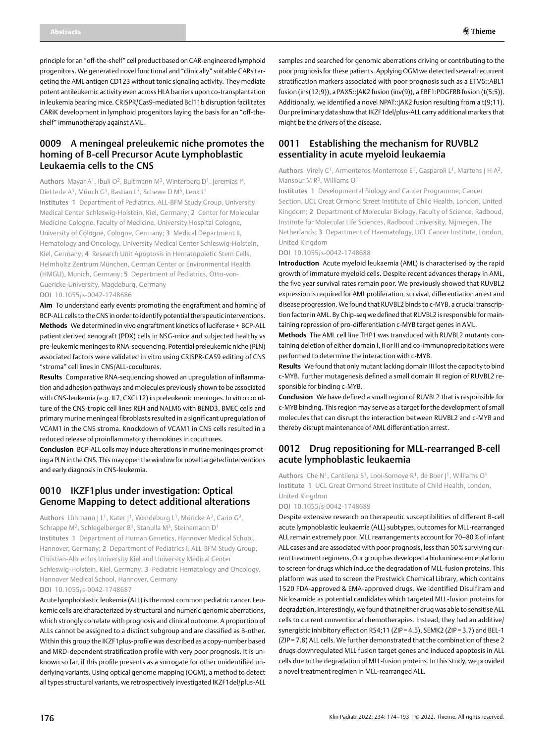principle for an "off-the-shelf" cell product based on CAR-engineered lymphoid progenitors. We generated novel functional and "clinically" suitable CARs targeting the AML antigen CD123 without tonic signaling activity. They mediate potent antileukemic activity even across HLA barriers upon co-transplantation in leukemia bearing mice. CRISPR/Cas9-mediated Bcl11b disruption facilitates CARiK development in lymphoid progenitors laying the basis for an "off-theshelf" immunotherapy against AML.

### 0009 A meningeal preleukemic niche promotes the homing of B-cell Precursor Acute Lymphoblastic Leukaemia cells to the CNS

Authors Mayar A<sup>1</sup>, Ibuli O<sup>2</sup>, Bultmann M<sup>3</sup>, Winterberg D<sup>1</sup>, Ieremias I<sup>4</sup>, Dietterle A<sup>1</sup>, Münch G<sup>1</sup>, Bastian L<sup>3</sup>, Schewe D M<sup>5</sup>, Lenk L<sup>1</sup> Institutes 1 Department of Pediatrics, ALL-BFM Study Group, University Medical Center Schleswig-Holstein, Kiel, Germany; 2 Center for Molecular Medicine Cologne, Faculty of Medicine, University Hospital Cologne, University of Cologne, Cologne, Germany; 3 Medical Department II, Hematology and Oncology, University Medical Center Schleswig-Holstein, Kiel, Germany; 4 Research Unit Apoptosis in Hematopoietic Stem Cells, Helmholtz Zentrum München, German Center or Environmental Health (HMGU), Munich, Germany; 5 Department of Pediatrics, Otto-von-Guericke-University, Magdeburg, Germany DOI 10.1055/s-0042-1748686

**Aim** To understand early events promoting the engraftment and homing of BCP-ALL cells to the CNS in order to identify potential therapeutic interventions. **Methods** We determined in vivo engraftment kinetics of luciferase+ BCP-ALL patient derived xenograft (PDX) cells in NSG-mice and subjected healthy vs pre-leukemic meninges to RNA-sequencing. Potential preleukemic niche (PLN) associated factors were validated in vitro using CRISPR-CAS9 editing of CNS "stroma" cell lines in CNS/ALL-cocultures.

**Results** Comparative RNA-sequencing showed an upregulation of inflammation and adhesion pathways and molecules previously shown to be associated with CNS-leukemia (e.g. IL7, CXCL12) in preleukemic meninges. In vitro coculture of the CNS-tropic cell lines REH and NALM6 with BEND3, BMEC cells and primary murine meningeal fibroblasts resulted in a significant upregulation of VCAM1 in the CNS stroma. Knockdown of VCAM1 in CNS cells resulted in a reduced release of proinflammatory chemokines in cocultures.

**Conclusion** BCP-ALL cells may induce alterations in murine meninges promoting a PLN in the CNS. This may open the window for novel targeted interventions and early diagnosis in CNS-leukemia.

# 0010 IKZF1plus under investigation: Optical Genome Mapping to detect additional alterations

Authors Lühmann J L<sup>1</sup>, Kater J<sup>1</sup>, Wendeburg L<sup>1</sup>, Möricke A<sup>2</sup>, Cario G<sup>2</sup>, Schrappe M<sup>2</sup>, Schlegelberger B<sup>1</sup>, Stanulla M<sup>3</sup>, Steinemann D<sup>1</sup> Institutes 1 Department of Human Genetics, Hannover Medical School, Hannover, Germany; 2 Department of Pediatrics I, ALL-BFM Study Group, Christian-Albrechts University Kiel and University Medical Center Schleswig-Holstein, Kiel, Germany; 3 Pediatric Hematology and Oncology, Hannover Medical School, Hannover, Germany

DOI 10.1055/s-0042-1748687

Acute lymphoblastic leukemia (ALL) is the most common pediatric cancer. Leukemic cells are characterized by structural and numeric genomic aberrations, which strongly correlate with prognosis and clinical outcome. A proportion of ALLs cannot be assigned to a distinct subgroup and are classified as B-other. Within this group the IKZF1plus-profile was described as a copy-number based and MRD-dependent stratification profile with very poor prognosis. It is unknown so far, if this profile presents as a surrogate for other unidentified underlying variants. Using optical genome mapping (OGM), a method to detect all types structural variants, we retrospectively investigated IKZF1del/plus-ALL

samples and searched for genomic aberrations driving or contributing to the poor prognosis for these patients. Applying OGM we detected several recurrent stratification markers associated with poor prognosis such as a ETV6::ABL1 fusion (ins(12;9)), a PAX5::JAK2 fusion (inv(9)), a EBF1:PDGFRB fusion (t(5;5)). Additionally, we identified a novel NPAT::JAK2 fusion resulting from a t(9;11). Our preliminary data show that IKZF1del/plus-ALL carry additional markers that might be the drivers of the disease.

# 0011 Establishing the mechanism for RUVBL2 essentiality in acute myeloid leukaemia

Authors Virely C<sup>1</sup>, Armenteros-Monterroso E<sup>1</sup>, Gasparoli L<sup>1</sup>, Martens J H A<sup>2</sup>, Mansour M R<sup>3</sup>, Williams O<sup>1</sup>

Institutes 1 Developmental Biology and Cancer Programme, Cancer Section, UCL Great Ormond Street Institute of Child Health, London, United Kingdom; 2 Department of Molecular Biology, Faculty of Science, Radboud, Institute for Molecular Life Sciences, Radboud University, Nijmegen, The Netherlands; 3 Department of Haematology, UCL Cancer Institute, London, United Kingdom

DOI 10.1055/s-0042-1748688

**Introduction** Acute myeloid leukaemia (AML) is characterised by the rapid growth of immature myeloid cells. Despite recent advances therapy in AML, the five year survival rates remain poor. We previously showed that RUVBL2 expression is required for AML proliferation, survival, differentiation arrest and disease progression. We found that RUVBL2 binds to c-MYB, a crucial transcription factor in AML. By Chip-seq we defined that RUVBL2 is responsible for maintaining repression of pro-differentiation c-MYB target genes in AML.

**Methods** The AML cell line THP1 was transduced with RUVBL2 mutants containing deletion of either domain I, II or III and co-immunoprecipitations were performed to determine the interaction with c-MYB.

**Results** We found that only mutant lacking domain III lost the capacity to bind c-MYB. Further mutagenesis defined a small domain III region of RUVBL2 responsible for binding c-MYB.

**Conclusion** We have defined a small region of RUVBL2 that is responsible for c-MYB binding. This region may serve as a target for the development of small molecules that can disrupt the interaction between RUVBL2 and c-MYB and thereby disrupt maintenance of AML differentiation arrest.

### 0012 Drug repositioning for MLL-rearranged B-cell acute lymphoblastic leukaemia

Authors Che N<sup>1</sup>, Cantilena S<sup>1</sup>, Looi-Somoye R<sup>1</sup>, de Boer J<sup>1</sup>, Williams O<sup>1</sup> Institute 1 UCL Great Ormond Street Institute of Child Health, London, United Kingdom

DOI 10.1055/s-0042-1748689

Despite extensive research on therapeutic susceptibilities of different B-cell acute lymphoblastic leukaemia (ALL) subtypes, outcomes for MLL-rearranged ALL remain extremely poor. MLL rearrangements account for 70–80% of infant ALL cases and are associated with poor prognosis, less than 50% surviving current treatment regimens. Our group has developed a bioluminescence platform to screen for drugs which induce the degradation of MLL-fusion proteins. This platform was used to screen the Prestwick Chemical Library, which contains 1520 FDA-approved & EMA-approved drugs. We identified Disulfiram and Niclosamide as potential candidates which targeted MLL-fusion proteins for degradation. Interestingly, we found that neither drug was able to sensitise ALL cells to current conventional chemotherapies. Instead, they had an additive/ synergistic inhibitory effect on RS4;11 (ZIP = 4.5), SEMK2 (ZIP = 3.7) and BEL-1 (ZIP = 7.8) ALL cells. We further demonstrated that the combination of these 2 drugs downregulated MLL fusion target genes and induced apoptosis in ALL cells due to the degradation of MLL-fusion proteins. In this study, we provided a novel treatment regimen in MLL-rearranged ALL.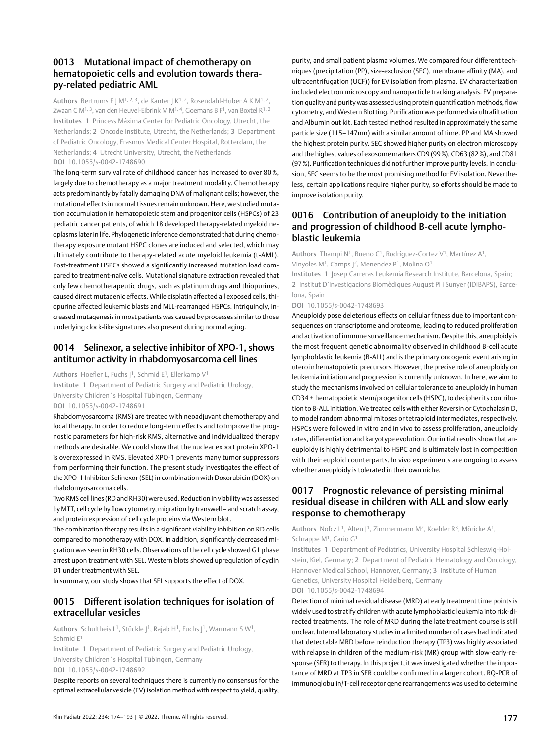## 0013 Mutational impact of chemotherapy on hematopoietic cells and evolution towards therapy-related pediatric AML

Authors Bertrums E J M<sup>1, 2, 3</sup>, de Kanter J K<sup>1, 2</sup>, Rosendahl-Huber A K M<sup>1, 2</sup>, Zwaan C M<sup>1, 3</sup>, van den Heuvel-Eibrink M M<sup>1, 4</sup>, Goemans B F<sup>1</sup>, van Boxtel R<sup>1, 2</sup> Institutes 1 Princess Máxima Center for Pediatric Oncology, Utrecht, the Netherlands; 2 Oncode Institute, Utrecht, the Netherlands; 3 Department of Pediatric Oncology, Erasmus Medical Center Hospital, Rotterdam, the Netherlands; 4 Utrecht University, Utrecht, the Netherlands DOI 10.1055/s-0042-1748690

The long-term survival rate of childhood cancer has increased to over 80 %, largely due to chemotherapy as a major treatment modality. Chemotherapy acts predominantly by fatally damaging DNA of malignant cells; however, the mutational effects in normal tissues remain unknown. Here, we studied mutation accumulation in hematopoietic stem and progenitor cells (HSPCs) of 23 pediatric cancer patients, of which 18 developed therapy-related myeloid neoplasms later in life. Phylogenetic inference demonstrated that during chemotherapy exposure mutant HSPC clones are induced and selected, which may ultimately contribute to therapy-related acute myeloid leukemia (t-AML). Post-treatment HSPCs showed a significantly increased mutation load compared to treatment-naïve cells. Mutational signature extraction revealed that only few chemotherapeutic drugs, such as platinum drugs and thiopurines, caused direct mutagenic effects. While cisplatin affected all exposed cells, thiopurine affected leukemic blasts and MLL-rearranged HSPCs. Intriguingly, increased mutagenesis in most patients was caused by processes similar to those underlying clock-like signatures also present during normal aging.

### 0014 Selinexor, a selective inhibitor of XPO-1, shows antitumor activity in rhabdomyosarcoma cell lines

Authors Hoefler L, Fuchs J<sup>1</sup>, Schmid E<sup>1</sup>, Ellerkamp V<sup>1</sup> Institute 1 Department of Pediatric Surgery and Pediatric Urology, University Children`s Hospital Tübingen, Germany DOI 10.1055/s-0042-1748691

Rhabdomyosarcoma (RMS) are treated with neoadjuvant chemotherapy and local therapy. In order to reduce long-term effects and to improve the prognostic parameters for high-risk RMS, alternative and individualized therapy methods are desirable. We could show that the nuclear export protein XPO-1 is overexpressed in RMS. Elevated XPO-1 prevents many tumor suppressors from performing their function. The present study investigates the effect of the XPO-1 Inhibitor Selinexor (SEL) in combination with Doxorubicin (DOX) on rhabdomyosarcoma cells.

Two RMS cell lines (RD and RH30) were used. Reduction in viability was assessed by MTT, cell cycle by flow cytometry, migration by transwell – and scratch assay, and protein expression of cell cycle proteins via Western blot.

The combination therapy results in a significant viability inhibition on RD cells compared to monotherapy with DOX. In addition, significantly decreased migration was seen in RH30 cells. Observations of the cell cycle showed G1 phase arrest upon treatment with SEL. Western blots showed upregulation of cyclin D1 under treatment with SEL.

In summary, our study shows that SEL supports the effect of DOX.

# 0015 Different isolation techniques for isolation of extracellular vesicles

Authors Schultheis L<sup>1</sup>, Stückle J<sup>1</sup>, Rajab H<sup>1</sup>, Fuchs J<sup>1</sup>, Warmann S W<sup>1</sup>, Schmid E1

Institute 1 Department of Pediatric Surgery and Pediatric Urology, University Children`s Hospital Tübingen, Germany DOI 10.1055/s-0042-1748692

Despite reports on several techniques there is currently no consensus for the optimal extracellular vesicle (EV) isolation method with respect to yield, quality,

purity, and small patient plasma volumes. We compared four different techniques (precipitation (PP), size-exclusion (SEC), membrane affinity (MA), and ultracentrifugation (UCF)) for EV isolation from plasma. EV characterization included electron microscopy and nanoparticle tracking analysis. EV preparation quality and purity was assessed using protein quantification methods, flow cytometry, and Western Blotting. Purification was performed via ultrafiltration and Albumin out kit. Each tested method resulted in approximately the same particle size (115–147nm) with a similar amount of time. PP and MA showed the highest protein purity. SEC showed higher purity on electron microscopy and the highest values of exosome markers CD9 (99%), CD63 (82%), and CD81 (97%). Purification techniques did not further improve purity levels. In conclusion, SEC seems to be the most promising method for EV isolation. Nevertheless, certain applications require higher purity, so efforts should be made to improve isolation purity.

# 0016 Contribution of aneuploidy to the initiation and progression of childhood B-cell acute lymphoblastic leukemia

Authors Thampi N<sup>1</sup>, Bueno C<sup>1</sup>, Rodríguez-Cortez V<sup>1</sup>, Martínez A<sup>1</sup>, Vinyoles M1, Camps J2, Menendez P1, Molina O1

Institutes 1 Josep Carreras Leukemia Research Institute, Barcelona, Spain; 2 Institut D'Investigacions Biomèdiques August Pi i Sunyer (IDIBAPS), Barcelona, Spain

DOI 10.1055/s-0042-1748693

Aneuploidy pose deleterious effects on cellular fitness due to important consequences on transcriptome and proteome, leading to reduced proliferation and activation of immune surveillance mechanism. Despite this, aneuploidy is the most frequent genetic abnormality observed in childhood B-cell acute lymphoblastic leukemia (B-ALL) and is the primary oncogenic event arising in utero in hematopoietic precursors. However, the precise role of aneuploidy on leukemia initiation and progression is currently unknown. In here, we aim to study the mechanisms involved on cellular tolerance to aneuploidy in human CD34 + hematopoietic stem/progenitor cells (HSPC), to decipher its contribution to B-ALL initiation. We treated cells with either Reversin or Cytochalasin D, to model random abnormal mitoses or tetraploid intermediates, respectively. HSPCs were followed in vitro and in vivo to assess proliferation, aneuploidy rates, differentiation and karyotype evolution. Our initial results show that aneuploidy is highly detrimental to HSPC and is ultimately lost in competition with their euploid counterparts. In vivo experiments are ongoing to assess whether aneuploidy is tolerated in their own niche.

# 0017 Prognostic relevance of persisting minimal residual disease in children with ALL and slow early response to chemotherapy

Authors Nofcz L<sup>1</sup>, Alten J<sup>1</sup>, Zimmermann M<sup>2</sup>, Koehler R<sup>3</sup>, Möricke A<sup>1</sup>, Schrappe M1, Cario G1

Institutes 1 Department of Pediatrics, University Hospital Schleswig-Holstein, Kiel, Germany; 2 Department of Pediatric Hematology and Oncology, Hannover Medical School, Hannover, Germany; 3 Institute of Human Genetics, University Hospital Heidelberg, Germany

DOI 10.1055/s-0042-1748694

Detection of minimal residual disease (MRD) at early treatment time points is widely used to stratify children with acute lymphoblastic leukemia into risk-directed treatments. The role of MRD during the late treatment course is still unclear. Internal laboratory studies in a limited number of cases had indicated that detectable MRD before reinduction therapy (TP3) was highly associated with relapse in children of the medium-risk (MR) group with slow-early-response (SER) to therapy. In this project, it was investigated whether the importance of MRD at TP3 in SER could be confirmed in a larger cohort. RQ-PCR of immunoglobulin/T-cell receptor gene rearrangements was used to determine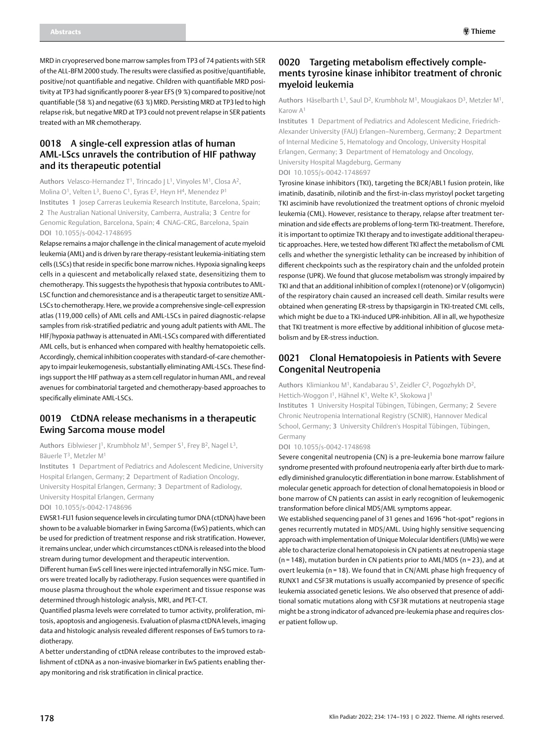MRD in cryopreserved bone marrow samples from TP3 of 74 patients with SER of the ALL-BFM 2000 study. The results were classified as positive/quantifiable, positive/not quantifiable and negative. Children with quantifiable MRD positivity at TP3 had significantly poorer 8-year EFS (9 %) compared to positive/not quantifiable (58 %) and negative (63 %) MRD. Persisting MRD at TP3 led to high relapse risk, but negative MRD at TP3 could not prevent relapse in SER patients treated with an MR chemotherapy.

# 0018 A single-cell expression atlas of human AML-LScs unravels the contribution of HIF pathway and its therapeutic potential

Authors Velasco-Hernandez T<sup>1</sup>, Trincado J L<sup>1</sup>, Vinyoles M<sup>1</sup>, Closa A<sup>2</sup>, Molina O<sup>1</sup>, Velten L<sup>3</sup>, Bueno C<sup>1</sup>, Eyras E<sup>2</sup>, Heyn H<sup>4</sup>, Menendez P<sup>1</sup> Institutes 1 Josep Carreras Leukemia Research Institute, Barcelona, Spain; 2 The Australian National University, Camberra, Australia; 3 Centre for Genomic Regulation, Barcelona, Spain; 4 CNAG-CRG, Barcelona, Spain DOI 10.1055/s-0042-1748695

Relapse remains a major challenge in the clinical management of acute myeloid leukemia (AML) and is driven by rare therapy-resistant leukemia-initiating stem cells (LSCs) that reside in specific bone marrow niches. Hypoxia signaling keeps cells in a quiescent and metabolically relaxed state, desensitizing them to chemotherapy. This suggests the hypothesis that hypoxia contributes to AML-LSC function and chemoresistance and is a therapeutic target to sensitize AML-LSCs to chemotherapy. Here, we provide a comprehensive single-cell expression atlas (119,000 cells) of AML cells and AML-LSCs in paired diagnostic-relapse samples from risk-stratified pediatric and young adult patients with AML. The HIF/hypoxia pathway is attenuated in AML-LSCs compared with differentiated AML cells, but is enhanced when compared with healthy hematopoietic cells. Accordingly, chemical inhibition cooperates with standard-of-care chemotherapy to impair leukemogenesis, substantially eliminating AML-LSCs. These findings support the HIF pathway as a stem cell regulator in human AML, and reveal avenues for combinatorial targeted and chemotherapy-based approaches to specifically eliminate AML-LSCs.

#### 0019 CtDNA release mechanisms in a therapeutic Ewing Sarcoma mouse model

Authors Eiblwieser |<sup>1</sup>, Krumbholz M<sup>1</sup>, Semper S<sup>1</sup>, Frey B<sup>2</sup>, Nagel L<sup>3</sup>, Bäuerle T3, Metzler M1

Institutes 1 Department of Pediatrics and Adolescent Medicine, University Hospital Erlangen, Germany; 2 Department of Radiation Oncology, University Hospital Erlangen, Germany; 3 Department of Radiology, University Hospital Erlangen, Germany DOI 10.1055/s-0042-1748696

EWSR1-FLI1 fusion sequence levels in circulating tumor DNA (ctDNA) have been shown to be a valuable biomarker in Ewing Sarcoma (EwS) patients, which can be used for prediction of treatment response and risk stratification. However, it remains unclear, under which circumstances ctDNA is released into the blood stream during tumor development and therapeutic intervention.

Different human EwS cell lines were injected intrafemorally in NSG mice. Tumors were treated locally by radiotherapy. Fusion sequences were quantified in mouse plasma throughout the whole experiment and tissue response was determined through histologic analysis, MRI, and PET-CT.

Quantified plasma levels were correlated to tumor activity, proliferation, mitosis, apoptosis and angiogenesis. Evaluation of plasma ctDNA levels, imaging data and histologic analysis revealed different responses of EwS tumors to radiotherapy.

A better understanding of ctDNA release contributes to the improved establishment of ctDNA as a non-invasive biomarker in EwS patients enabling therapy monitoring and risk stratification in clinical practice.

### 0020 Targeting metabolism effectively complements tyrosine kinase inhibitor treatment of chronic myeloid leukemia

Authors Häselbarth L1, Saul D2, Krumbholz M1, Mougiakaos D3, Metzler M1, Karow A1

Institutes 1 Department of Pediatrics and Adolescent Medicine, Friedrich-Alexander University (FAU) Erlangen–Nuremberg, Germany; 2 Department of Internal Medicine 5, Hematology and Oncology, University Hospital Erlangen, Germany; 3 Department of Hematology and Oncology, University Hospital Magdeburg, Germany DOI 10.1055/s-0042-1748697

Tyrosine kinase inhibitors (TKI), targeting the BCR/ABL1 fusion protein, like imatinib, dasatinib, nilotinib and the first-in-class myristoyl pocket targeting TKI asciminib have revolutionized the treatment options of chronic myeloid leukemia (CML). However, resistance to therapy, relapse after treatment termination and side effects are problems of long-term TKI-treatment. Therefore, it is important to optimize TKI therapy and to investigate additional therapeutic approaches. Here, we tested how different TKI affect the metabolism of CML cells and whether the synergistic lethality can be increased by inhibition of different checkpoints such as the respiratory chain and the unfolded protein response (UPR). We found that glucose metabolism was strongly impaired by TKI and that an additional inhibition of complex I (rotenone) or V (oligomycin) of the respiratory chain caused an increased cell death. Similar results were obtained when generating ER-stress by thapsigargin in TKI-treated CML cells, which might be due to a TKI-induced UPR-inhibition. All in all, we hypothesize that TKI treatment is more effective by additional inhibition of glucose metabolism and by ER-stress induction.

### 0021 Clonal Hematopoiesis in Patients with Severe Congenital Neutropenia

Authors Klimiankou M<sup>1</sup>, Kandabarau S<sup>1</sup>, Zeidler C<sup>2</sup>, Pogozhykh D<sup>2</sup>, Hettich-Woggon I<sup>1</sup>, Hähnel K<sup>1</sup>, Welte K<sup>3</sup>, Skokowa J<sup>1</sup>

Institutes 1 University Hospital Tübingen, Tübingen, Germany; 2 Severe Chronic Neutropenia International Registry (SCNIR), Hannover Medical School, Germany; 3 University Children's Hospital Tübingen, Tübingen, Germany

DOI 10.1055/s-0042-1748698

Severe congenital neutropenia (CN) is a pre-leukemia bone marrow failure syndrome presented with profound neutropenia early after birth due to markedly diminished granulocytic differentiation in bone marrow. Establishment of molecular genetic approach for detection of clonal hematopoiesis in blood or bone marrow of CN patients can assist in early recognition of leukemogenic transformation before clinical MDS/AML symptoms appear.

We established sequencing panel of 31 genes and 1696 "hot-spot" regions in genes recurrently mutated in MDS/AML. Using highly sensitive sequencing approach with implementation of Unique Molecular Identifiers (UMIs) we were able to characterize clonal hematopoiesis in CN patients at neutropenia stage (n = 148), mutation burden in CN patients prior to AML/MDS (n = 23), and at overt leukemia (n = 18). We found that in CN/AML phase high frequency of RUNX1 and CSF3R mutations is usually accompanied by presence of specific leukemia associated genetic lesions. We also observed that presence of additional somatic mutations along with CSF3R mutations at neutropenia stage might be a strong indicator of advanced pre-leukemia phase and requires closer patient follow up.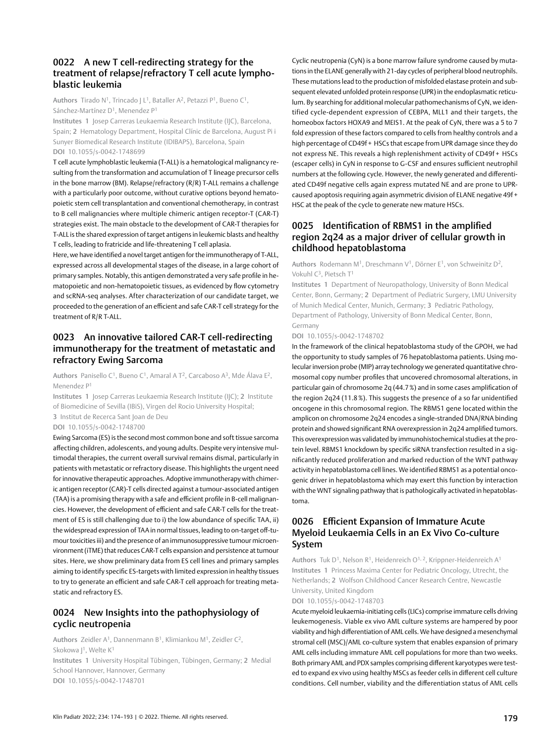## 0022 A new T cell-redirecting strategy for the treatment of relapse/refractory T cell acute lymphoblastic leukemia

Authors Tirado N<sup>1</sup>, Trincado J L<sup>1</sup>, Bataller A<sup>2</sup>, Petazzi P<sup>1</sup>, Bueno C<sup>1</sup>, Sánchez-Martínez D<sup>1</sup>, Menendez P<sup>1</sup>

Institutes 1 Josep Carreras Leukaemia Research Institute (IJC), Barcelona, Spain; 2 Hematology Department, Hospital Clínic de Barcelona, August Pi i Sunyer Biomedical Research Institute (IDIBAPS), Barcelona, Spain DOI 10.1055/s-0042-1748699

T cell acute lymphoblastic leukemia (T-ALL) is a hematological malignancy resulting from the transformation and accumulation of T lineage precursor cells in the bone marrow (BM). Relapse/refractory (R/R) T-ALL remains a challenge with a particularly poor outcome, without curative options beyond hematopoietic stem cell transplantation and conventional chemotherapy, in contrast to B cell malignancies where multiple chimeric antigen receptor-T (CAR-T) strategies exist. The main obstacle to the development of CAR-T therapies for T-ALL is the shared expression of target antigens in leukemic blasts and healthy T cells, leading to fratricide and life-threatening T cell aplasia.

Here, we have identified a novel target antigen for the immunotherapy of T-ALL, expressed across all developmental stages of the disease, in a large cohort of primary samples. Notably, this antigen demonstrated a very safe profile in hematopoietic and non-hematopoietic tissues, as evidenced by flow cytometry and scRNA-seq analyses. After characterization of our candidate target, we proceeded to the generation of an efficient and safe CAR-T cell strategy for the treatment of R/R T-ALL.

# 0023 An innovative tailored CAR-T cell-redirecting immunotherapy for the treatment of metastatic and refractory Ewing Sarcoma

Authors Panisello C<sup>1</sup>, Bueno C<sup>1</sup>, Amaral A T<sup>2</sup>, Carcaboso A<sup>3</sup>, Mde Álava E<sup>2</sup>, Menendez P1

Institutes 1 Josep Carreras Leukaemia Research Institute (IJC); 2 Institute of Biomedicine of Sevilla (IBiS), Virgen del Rocio University Hospital;

3 Institut de Recerca Sant Joan de Deu

DOI 10.1055/s-0042-1748700

Ewing Sarcoma (ES) is the second most common bone and soft tissue sarcoma affecting children, adolescents, and young adults. Despite very intensive multimodal therapies, the current overall survival remains dismal, particularly in patients with metastatic or refractory disease. This highlights the urgent need for innovative therapeutic approaches. Adoptive immunotherapy with chimeric antigen receptor (CAR)-T cells directed against a tumour-associated antigen (TAA) is a promising therapy with a safe and efficient profile in B-cell malignancies. However, the development of efficient and safe CAR-T cells for the treatment of ES is still challenging due to i) the low abundance of specific TAA, ii) the widespread expression of TAA in normal tissues, leading to on-target off-tumour toxicities iii) and the presence of an immunosuppressive tumour microenvironment (iTME) that reduces CAR-T cells expansion and persistence at tumour sites. Here, we show preliminary data from ES cell lines and primary samples aiming to identify specific ES-targets with limited expression in healthy tissues to try to generate an efficient and safe CAR-T cell approach for treating metastatic and refractory ES.

# 0024 New Insights into the pathophysiology of cyclic neutropenia

Authors Zeidler A1, Dannenmann B1, Klimiankou M1, Zeidler C2, Skokowa |<sup>1</sup>, Welte K<sup>1</sup>

Institutes 1 University Hospital Tübingen, Tübingen, Germany; 2 Medial School Hannover, Hannover, Germany DOI 10.1055/s-0042-1748701

Cyclic neutropenia (CyN) is a bone marrow failure syndrome caused by mutations in the ELANE generally with 21-day cycles of peripheral blood neutrophils. These mutations lead to the production of misfolded elastase protein and subsequent elevated unfolded protein response (UPR) in the endoplasmatic reticulum. By searching for additional molecular pathomechanisms of CyN, we identified cycle-dependent expression of CEBPA, MLL1 and their targets, the homeobox factors HOXA9 and MEIS1. At the peak of CyN, there was a 5 to 7 fold expression of these factors compared to cells from healthy controls and a high percentage of CD49f + HSCs that escape from UPR damage since they do not express NE. This reveals a high replenishment activity of CD49f + HSCs (escaper cells) in CyN in response to G-CSF and ensures sufficient neutrophil numbers at the following cycle. However, the newly generated and differentiated CD49f negative cells again express mutated NE and are prone to UPRcaused apoptosis requiring again asymmetric division of ELANE negative 49f + HSC at the peak of the cycle to generate new mature HSCs.

# 0025 Identification of RBMS1 in the amplified region 2q24 as a major driver of cellular growth in childhood hepatoblastoma

Authors Rodemann M1, Dreschmann V1, Dörner E1, von Schweinitz D2, Vokuhl C3, Pietsch T1

Institutes 1 Department of Neuropathology, University of Bonn Medical Center, Bonn, Germany; 2 Department of Pediatric Surgery, LMU University of Munich Medical Center, Munich, Germany; 3 Pediatric Pathology, Department of Pathology, University of Bonn Medical Center, Bonn, Germany

DOI 10.1055/s-0042-1748702

In the framework of the clinical hepatoblastoma study of the GPOH, we had the opportunity to study samples of 76 hepatoblastoma patients. Using molecular inversion probe (MIP) array technology we generated quantitative chromosomal copy number profiles that uncovered chromosomal alterations, in particular gain of chromosome 2q (44.7%) and in some cases amplification of the region 2q24 (11.8%). This suggests the presence of a so far unidentified oncogene in this chromosomal region. The RBMS1 gene located within the amplicon on chromosome 2q24 encodes a single-stranded DNA/RNA binding protein and showed significant RNA overexpression in 2q24 amplified tumors. This overexpression was validated by immunohistochemical studies at the protein level. RBMS1 knockdown by specific siRNA transfection resulted in a significantly reduced proliferation and marked reduction of the WNT pathway activity in hepatoblastoma cell lines. We identified RBMS1 as a potential oncogenic driver in hepatoblastoma which may exert this function by interaction with the WNT signaling pathway that is pathologically activated in hepatoblastoma.

# 0026 Efficient Expansion of Immature Acute Myeloid Leukaemia Cells in an Ex Vivo Co-culture System

Authors Tuk D<sup>1</sup>, Nelson R<sup>1</sup>, Heidenreich O<sup>1, 2</sup>, Krippner-Heidenreich A<sup>1</sup> Institutes 1 Princess Maxima Center for Pediatric Oncology, Utrecht, the Netherlands; 2 Wolfson Childhood Cancer Research Centre, Newcastle University, United Kingdom

DOI 10.1055/s-0042-1748703

Acute myeloid leukaemia-initiating cells (LICs) comprise immature cells driving leukemogenesis. Viable ex vivo AML culture systems are hampered by poor viability and high differentiation of AML cells. We have designed a mesenchymal stromal cell (MSC)/AML co-culture system that enables expansion of primary AML cells including immature AML cell populations for more than two weeks. Both primary AML and PDX samples comprising different karyotypes were tested to expand ex vivo using healthy MSCs as feeder cells in different cell culture conditions. Cell number, viability and the differentiation status of AML cells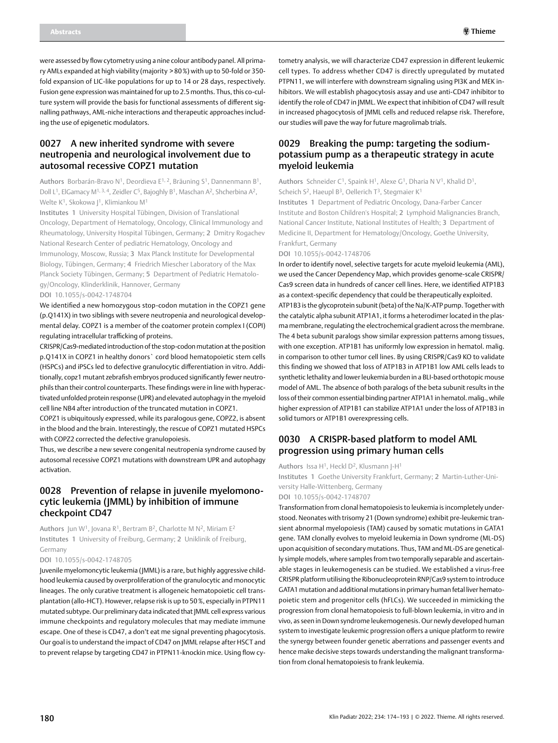were assessed by flow cytometry using a nine colour antibody panel. All primary AMLs expanded at high viability (majority > 80%) with up to 50-fold or 350 fold expansion of LIC-like populations for up to 14 or 28 days, respectively. Fusion gene expression was maintained for up to 2.5 months. Thus, this co-culture system will provide the basis for functional assessments of different signalling pathways, AML-niche interactions and therapeutic approaches including the use of epigenetic modulators.

# 0027 A new inherited syndrome with severe neutropenia and neurological involvement due to autosomal recessive COPZ1 mutation

Authors Borbarán-Bravo N<sup>1</sup>, Deordieva E<sup>1, 2</sup>, Bräuning S<sup>1</sup>, Dannenmann B<sup>1</sup>, Doll L<sup>1</sup>, ElGamacy M<sup>1, 3, 4</sup>, Zeidler C<sup>5</sup>, Bajoghly B<sup>1</sup>, Maschan A<sup>2</sup>, Shcherbina A<sup>2</sup>, Welte K<sup>1</sup>, Skokowa |<sup>1</sup>, Klimiankou M<sup>1</sup>

Institutes 1 University Hospital Tübingen, Division of Translational Oncology, Department of Hematology, Oncology, Clinical Immunology and Rheumatology, University Hospital Tübingen, Germany; 2 Dmitry Rogachev National Research Center of pediatric Hematology, Oncology and Immunology, Moscow, Russia; 3 Max Planck Institute for Developmental Biology, Tübingen, Germany; 4 Friedrich Miescher Laboratory of the Max Planck Society Tübingen, Germany; 5 Department of Pediatric Hematology/Oncology, Klinderklinik, Hannover, Germany

DOI 10.1055/s-0042-1748704

We identified a new homozygous stop-codon mutation in the COPZ1 gene (p.Q141X) in two siblings with severe neutropenia and neurological developmental delay. COPZ1 is a member of the coatomer protein complex I (COPI) regulating intracellular trafficking of proteins.

CRISPR/Cas9-mediated introduction of the stop-codon mutation at the position p.Q141X in COPZ1 in healthy donors` cord blood hematopoietic stem cells (HSPCs) and iPSCs led to defective granulocytic differentiation in vitro. Additionally, copz1 mutant zebrafish embryos produced significantly fewer neutrophils than their control counterparts. These findings were in line with hyperactivated unfolded protein response (UPR) and elevated autophagy in the myeloid cell line NB4 after introduction of the truncated mutation in COPZ1.

COPZ1 is ubiquitously expressed, while its paralogous gene, COPZ2, is absent in the blood and the brain. Interestingly, the rescue of COPZ1 mutated HSPCs with COPZ2 corrected the defective granulopoiesis.

Thus, we describe a new severe congenital neutropenia syndrome caused by autosomal recessive COPZ1 mutations with downstream UPR and autophagy activation.

### 0028 Prevention of relapse in juvenile myelomonocytic leukemia (JMML) by inhibition of immune checkpoint CD47

Authors Jun W<sup>1</sup>, Jovana R<sup>1</sup>, Bertram B<sup>2</sup>, Charlotte M N<sup>2</sup>, Miriam E<sup>2</sup> Institutes 1 University of Freiburg, Germany; 2 Uniklinik of Freiburg, Germany

#### DOI 10.1055/s-0042-1748705

Juvenile myelomoncytic leukemia (JMML) is a rare, but highly aggressive childhood leukemia caused by overproliferation of the granulocytic and monocytic lineages. The only curative treatment is allogeneic hematopoietic cell transplantation (allo-HCT). However, relapse risk is up to 50%, especially in PTPN11 mutated subtype. Our preliminary data indicated that JMML cell express various immune checkpoints and regulatory molecules that may mediate immune escape. One of these is CD47, a don't eat me signal preventing phagocytosis. Our goal is to understand the impact of CD47 on JMML relapse after HSCT and to prevent relapse by targeting CD47 in PTPN11-knockin mice. Using flow cytometry analysis, we will characterize CD47 expression in different leukemic cell types. To address whether CD47 is directly upregulated by mutated PTPN11, we will interfere with downstream signaling using PI3K and MEK inhibitors. We will establish phagocytosis assay and use anti-CD47 inhibitor to identify the role of CD47 in JMML. We expect that inhibition of CD47 will result in increased phagocytosis of JMML cells and reduced relapse risk. Therefore, our studies will pave the way for future magrolimab trials.

### 0029 Breaking the pump: targeting the sodiumpotassium pump as a therapeutic strategy in acute myeloid leukemia

Authors Schneider C<sup>1</sup>, Spaink H<sup>1</sup>, Alexe G<sup>1</sup>, Dharia N V<sup>1</sup>, Khalid D<sup>1</sup>, Scheich S<sup>2</sup>, Haeupl B<sup>3</sup>, Oellerich T<sup>3</sup>, Stegmaier K<sup>1</sup>

Institutes 1 Department of Pediatric Oncology, Dana-Farber Cancer Institute and Boston Children's Hospital; 2 Lymphoid Malignancies Branch, National Cancer Institute, National Institutes of Health; 3 Department of Medicine II, Department for Hematology/Oncology, Goethe University, Frankfurt, Germany

#### DOI 10.1055/s-0042-1748706

In order to identify novel, selective targets for acute myeloid leukemia (AML), we used the Cancer Dependency Map, which provides genome-scale CRISPR/ Cas9 screen data in hundreds of cancer cell lines. Here, we identified ATP1B3 as a context-specific dependency that could be therapeutically exploited. ATP1B3 is the glycoprotein subunit (beta) of the Na/K-ATP pump. Together with the catalytic alpha subunit ATP1A1, it forms a heterodimer located in the plasma membrane, regulating the electrochemical gradient across the membrane. The 4 beta subunit paralogs show similar expression patterns among tissues, with one exception. ATP1B1 has uniformly low expression in hematol. malig. in comparison to other tumor cell lines. By using CRISPR/Cas9 KO to validate this finding we showed that loss of ATP1B3 in ATP1B1 low AML cells leads to synthetic lethality and lower leukemia burden in a BLI-based orthotopic mouse model of AML. The absence of both paralogs of the beta subunit results in the loss of their common essential binding partner ATP1A1 in hematol. malig., while higher expression of ATP1B1 can stabilize ATP1A1 under the loss of ATP1B3 in solid tumors or ATP1B1 overexpressing cells.

# 0030 A CRISPR-based platform to model AML progression using primary human cells

Authors Issa H1, Heckl D2, Klusmann J-H1

Institutes 1 Goethe University Frankfurt, Germany; 2 Martin-Luther-University Halle-Wittenberg, Germany

#### DOI 10.1055/s-0042-1748707

Transformation from clonal hematopoiesis to leukemia is incompletely understood. Neonates with trisomy 21 (Down syndrome) exhibit pre-leukemic transient abnormal myelopoiesis (TAM) caused by somatic mutations in GATA1 gene. TAM clonally evolves to myeloid leukemia in Down syndrome (ML-DS) upon acquisition of secondary mutations. Thus, TAM and ML-DS are genetically simple models, where samples from two temporally separable and ascertainable stages in leukemogenesis can be studied. We established a virus-free CRISPR platform utilising the Ribonucleoprotein RNP/Cas9 system to introduce GATA1 mutation and additional mutations in primary human fetal liver hematopoietic stem and progenitor cells (hFLCs). We succeeded in mimicking the progression from clonal hematopoiesis to full-blown leukemia, in vitro and in vivo, as seen in Down syndrome leukemogenesis. Our newly developed human system to investigate leukemic progression offers a unique platform to rewire the synergy between founder genetic aberrations and passenger events and hence make decisive steps towards understanding the malignant transformation from clonal hematopoiesis to frank leukemia.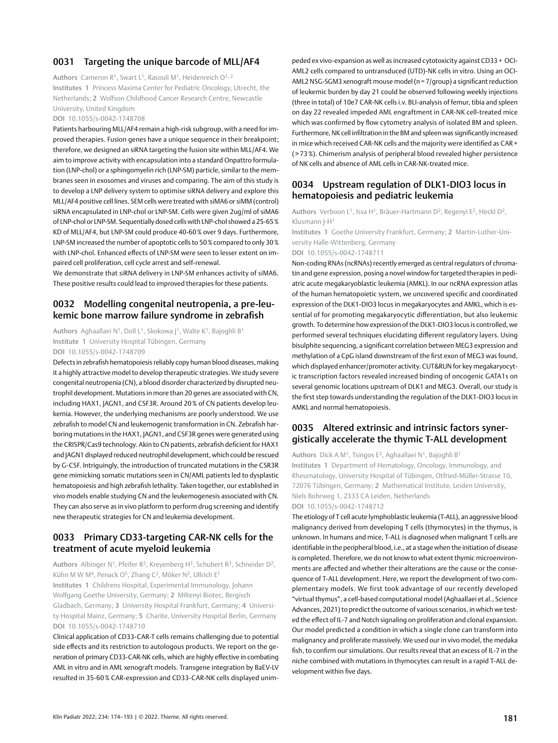#### 0031 Targeting the unique barcode of MLL/AF4

Authors Cameron R1, Swart L1, Rasouli M1, Heidenreich O1, 2

Institutes 1 Princess Maxima Center for Pediatric Oncology, Utrecht, the Netherlands; 2 Wolfson Childhood Cancer Research Centre, Newcastle University, United Kingdom

#### DOI 10.1055/s-0042-1748708

Patients harbouring MLL/AF4 remain a high-risk subgroup, with a need for improved therapies. Fusion genes have a unique sequence in their breakpoint; therefore, we designed an siRNA targeting the fusion site within MLL/AF4. We aim to improve activity with encapsulation into a standard Onpattro formulation (LNP-chol) or a sphingomyelin rich (LNP-SM) particle, similar to the membranes seen in exosomes and viruses and comparing. The aim of this study is to develop a LNP delivery system to optimise siRNA delivery and explore this MLL/AF4 positive cell lines. SEM cells were treated with siMA6 or siMM (control) siRNA encapsulated in LNP-chol or LNP-SM. Cells were given 2ug/ml of siMA6 of LNP-chol or LNP-SM. Sequentially dosed cells with LNP-chol showed a 25-65% KD of MLL/AF4, but LNP-SM could produce 40-60% over 9 days. Furthermore, LNP-SM increased the number of apoptotic cells to 50% compared to only 30% with LNP-chol. Enhanced effects of LNP-SM were seen to lesser extent on impaired cell proliferation, cell cycle arrest and self-renewal.

We demonstrate that siRNA delivery in LNP-SM enhances activity of siMA6. These positive results could lead to improved therapies for these patients.

#### 0032 Modelling congenital neutropenia, a pre-leukemic bone marrow failure syndrome in zebrafish

Authors Aghaallaei N<sup>1</sup>, Doll L<sup>1</sup>, Skokowa J<sup>1</sup>, Walte K<sup>1</sup>, Bajoghli B<sup>1</sup> Institute 1 University Hospital Tübingen, Germany DOI 10.1055/s-0042-1748709

Defects in zebrafish hematopoiesis reliably copy human blood diseases, making it a highly attractive model to develop therapeutic strategies. We study severe congenital neutropenia (CN), a blood disorder characterized by disrupted neutrophil development. Mutations in more than 20 genes are associated with CN, including HAX1, JAGN1, and CSF3R. Around 20% of CN patients develop leukemia. However, the underlying mechanisms are poorly understood. We use zebrafish to model CN and leukemogenic transformation in CN. Zebrafish harboring mutations in the HAX1, JAGN1, and CSF3R genes were generated using the CRISPR/Cas9 technology. Akin to CN patients, zebrafish deficient for HAX1 and JAGN1 displayed reduced neutrophil development, which could be rescued by G-CSF. Intriguingly, the introduction of truncated mutations in the CSR3R gene mimicking somatic mutations seen in CN/AML patients led to dysplastic hematopoiesis and high zebrafish lethality. Taken together, our established in vivo models enable studying CN and the leukemogenesis associated with CN. They can also serve as in vivo platform to perform drug screening and identify new therapeutic strategies for CN and leukemia development.

### 0033 Primary CD33-targeting CAR-NK cells for the treatment of acute myeloid leukemia

Authors Albinger N<sup>1</sup>, Pfeifer R<sup>2</sup>, Kreyenberg H<sup>3</sup>, Schubert R<sup>3</sup>, Schneider D<sup>2</sup>, Kühn M W M<sup>4</sup>, Penack O<sup>5</sup>, Zhang C<sup>2</sup>, Möker N<sup>2</sup>, Ullrich E<sup>1</sup> Institutes 1 Childrens Hospital, Experimental Immunology, Johann Wolfgang Goethe University, Germany; 2 Miltenyi Biotec, Bergisch Gladbach, Germany; 3 University Hospital Frankfurt, Germany; 4 University Hospital Mainz, Germany; 5 Charite, University Hospital Berlin, Germany DOI 10.1055/s-0042-1748710

Clinical application of CD33-CAR-T cells remains challenging due to potential side effects and its restriction to autologous products. We report on the generation of primary CD33-CAR-NK cells, which are highly effective in combating AML in vitro and in AML xenograft models. Transgene integration by BaEV-LV resulted in 35-60% CAR-expression and CD33-CAR-NK cells displayed unimpeded ex vivo-expansion as well as increased cytotoxicity against CD33 + OCI-AML2 cells compared to untransduced (UTD)-NK cells in vitro. Using an OCI-AML2 NSG-SGM3 xenograft mouse model (n =7/group) a significant reduction of leukemic burden by day 21 could be observed following weekly injections (three in total) of 10e7 CAR-NK cells i.v. BLI-analysis of femur, tibia and spleen on day 22 revealed impeded AML engraftment in CAR-NK cell-treated mice which was confirmed by flow cytometry analysis of isolated BM and spleen. Furthermore, NK cell infiltration in the BM and spleen was significantly increased in mice which received CAR-NK cells and the majority were identified as CAR+ ( > 73%). Chimerism analysis of peripheral blood revealed higher persistence of NK cells and absence of AML cells in CAR-NK-treated mice.

#### 0034 Upstream regulation of DLK1-DIO3 locus in hematopoiesis and pediatric leukemia

Authors Verboon L<sup>1</sup>, Issa H<sup>1</sup>, Bräuer-Hartmann D<sup>2</sup>, Regenyi E<sup>2</sup>, Heckl D<sup>2</sup>, Klusmann J-H1

Institutes 1 Goethe University Frankfurt, Germany; 2 Martin-Luther-University Halle-Wittenberg, Germany

#### DOI 10.1055/s-0042-1748711

Non-coding RNAs (ncRNAs) recently emerged as central regulators of chromatin and gene expression, posing a novel window for targeted therapies in pediatric acute megakaryoblastic leukemia (AMKL). In our ncRNA expression atlas of the human hematopoietic system, we uncovered specific and coordinated expression of the DLK1-DIO3 locus in megakaryocytes and AMKL, which is essential of for promoting megakaryocytic differentiation, but also leukemic growth. To determine how expression of the DLK1-DIO3 locus is controlled, we performed several techniques elucidating different regulatory layers. Using bisulphite sequencing, a significant correlation between MEG3 expression and methylation of a CpG island downstream of the first exon of MEG3 was found, which displayed enhancer/promoter activity. CUT&RUN for key megakaryocytic transcription factors revealed increased binding of oncogenic GATA1s on several genomic locations upstream of DLK1 and MEG3. Overall, our study is the first step towards understanding the regulation of the DLK1-DIO3 locus in AMKL and normal hematopoiesis.

### 0035 Altered extrinsic and intrinsic factors synergistically accelerate the thymic T-ALL development

Authors Dick A M1, Tsingos E2, Aghaallaei N1, Bajoghli B1 Institutes 1 Department of Hematology, Oncology, Immunology, and Rheumatology, University Hospital of Tübingen, Otfried-Müller-Strasse 10, 72076 Tübingen, Germany; 2 Mathematical Institute, Leiden University, Niels Bohrweg 1, 2333 CA Leiden, Netherlands DOI 10.1055/s-0042-1748712

The etiology of T cell acute lymphoblastic leukemia (T-ALL), an aggressive blood malignancy derived from developing T cells (thymocytes) in the thymus, is unknown. In humans and mice, T-ALL is diagnosed when malignant T cells are identifiable in the peripheral blood, i.e., at a stage when the initiation of disease is completed. Therefore, we do not know to what extent thymic microenvironments are affected and whether their alterations are the cause or the consequence of T-ALL development. Here, we report the development of two complementary models. We first took advantage of our recently developed "virtual thymus", a cell-based computational model (Aghaallaei et al., Science Advances, 2021) to predict the outcome of various scenarios, in which we tested the effect of IL-7 and Notch signaling on proliferation and clonal expansion. Our model predicted a condition in which a single clone can transform into malignancy and proliferate massively. We used our in vivo model, the medaka fish, to confirm our simulations. Our results reveal that an excess of IL-7 in the niche combined with mutations in thymocytes can result in a rapid T-ALL development within five days.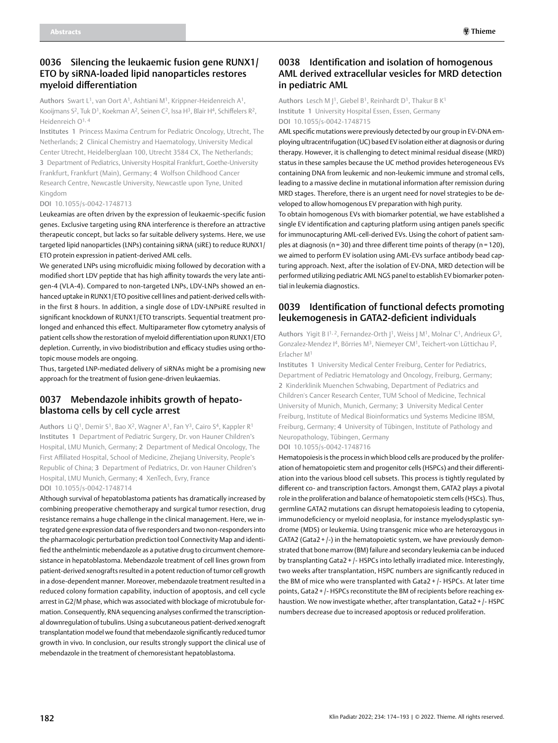# 0036 Silencing the leukaemic fusion gene RUNX1/ ETO by siRNA-loaded lipid nanoparticles restores myeloid differentiation

Authors Swart L1, van Oort A1, Ashtiani M1, Krippner-Heidenreich A1, Kooijmans S<sup>2</sup>, Tuk D<sup>1</sup>, Koekman A<sup>2</sup>, Seinen C<sup>2</sup>, Issa H<sup>3</sup>, Blair H<sup>4</sup>, Schiffelers R<sup>2</sup>, Heidenreich O<sup>1, 4</sup>

Institutes 1 Princess Maxima Centrum for Pediatric Oncology, Utrecht, The Netherlands; 2 Clinical Chemistry and Haematology, University Medical Center Utrecht, Heidelberglaan 100, Utrecht 3584 CX, The Netherlands; 3 Department of Pediatrics, University Hospital Frankfurt, Goethe-University Frankfurt, Frankfurt (Main), Germany; 4 Wolfson Childhood Cancer Research Centre, Newcastle University, Newcastle upon Tyne, United Kingdom

#### DOI 10.1055/s-0042-1748713

Leukeamias are often driven by the expression of leukaemic-specific fusion genes. Exclusive targeting using RNA interference is therefore an attractive therapeutic concept, but lacks so far suitable delivery systems. Here, we use targeted lipid nanoparticles (LNPs) containing siRNA (siRE) to reduce RUNX1/ ETO protein expression in patient-derived AML cells.

We generated LNPs using microfluidic mixing followed by decoration with a modified short LDV peptide that has high affinity towards the very late antigen-4 (VLA-4). Compared to non-targeted LNPs, LDV-LNPs showed an enhanced uptake in RUNX1/ETO positive cell lines and patient-derived cells within the first 8 hours. In addition, a single dose of LDV-LNPsiRE resulted in significant knockdown of RUNX1/ETO transcripts. Sequential treatment prolonged and enhanced this effect. Multiparameter flow cytometry analysis of patient cells show the restoration of myeloid differentiation upon RUNX1/ETO depletion. Currently, in vivo biodistribution and efficacy studies using orthotopic mouse models are ongoing.

Thus, targeted LNP-mediated delivery of siRNAs might be a promising new approach for the treatment of fusion gene-driven leukaemias.

# 0037 Mebendazole inhibits growth of hepatoblastoma cells by cell cycle arrest

Authors Li Q<sup>1</sup>, Demir S<sup>1</sup>, Bao X<sup>2</sup>, Wagner A<sup>1</sup>, Fan Y<sup>3</sup>, Cairo S<sup>4</sup>, Kappler R<sup>1</sup> Institutes 1 Department of Pediatric Surgery, Dr. von Hauner Children's Hospital, LMU Munich, Germany; 2 Department of Medical Oncology, The First Affiliated Hospital, School of Medicine, Zhejiang University, People's Republic of China; 3 Department of Pediatrics, Dr. von Hauner Children's Hospital, LMU Munich, Germany; 4 XenTech, Evry, France DOI 10.1055/s-0042-1748714

Although survival of hepatoblastoma patients has dramatically increased by combining preoperative chemotherapy and surgical tumor resection, drug resistance remains a huge challenge in the clinical management. Here, we integrated gene expression data of five responders and two non-responders into the pharmacologic perturbation prediction tool Connectivity Map and identified the anthelmintic mebendazole as a putative drug to circumvent chemoresistance in hepatoblastoma. Mebendazole treatment of cell lines grown from patient-derived xenografts resulted in a potent reduction of tumor cell growth in a dose-dependent manner. Moreover, mebendazole treatment resulted in a reduced colony formation capability, induction of apoptosis, and cell cycle arrest in G2/M phase, which was associated with blockage of microtubule formation. Consequently, RNA sequencing analyses confirmed the transcriptional downregulation of tubulins. Using a subcutaneous patient-derived xenograft transplantation model we found that mebendazole significantly reduced tumor growth in vivo. In conclusion, our results strongly support the clinical use of mebendazole in the treatment of chemoresistant hepatoblastoma.

#### 0038 Identification and isolation of homogenous AML derived extracellular vesicles for MRD detection in pediatric AML

Authors Lesch M J<sup>1</sup>, Giebel B<sup>1</sup>, Reinhardt D<sup>1</sup>, Thakur B K<sup>1</sup> Institute 1 University Hospital Essen, Essen, Germany DOI 10.1055/s-0042-1748715

AML specific mutations were previously detected by our group in EV-DNA employing ultracentrifugation (UC) based EV isolation either at diagnosis or during therapy. However, it is challenging to detect minimal residual disease (MRD) status in these samples because the UC method provides heterogeneous EVs containing DNA from leukemic and non-leukemic immune and stromal cells, leading to a massive decline in mutational information after remission during MRD stages. Therefore, there is an urgent need for novel strategies to be developed to allow homogenous EV preparation with high purity.

To obtain homogenous EVs with biomarker potential, we have established a single EV identification and capturing platform using antigen panels specific for immunocapturing AML-cell-derived EVs. Using the cohort of patient samples at diagnosis ( $n = 30$ ) and three different time points of therapy ( $n = 120$ ), we aimed to perform EV isolation using AML-EVs surface antibody bead capturing approach. Next, after the isolation of EV-DNA, MRD detection will be performed utilizing pediatric AML NGS panel to establish EV biomarker potential in leukemia diagnostics.

#### 0039 Identification of functional defects promoting leukemogenesis in GATA2-deficient individuals

Authors Yigit B I<sup>1, 2</sup>, Fernandez-Orth I<sup>1</sup>, Weiss J M<sup>1</sup>, Molnar C<sup>1</sup>, Andrieux G<sup>3</sup>, Gonzalez-Mendez I<sup>4</sup>, Börries M<sup>3</sup>, Niemeyer CM<sup>1</sup>, Teichert-von Lüttichau I<sup>2</sup>, Erlacher M1

Institutes 1 University Medical Center Freiburg, Center for Pediatrics, Department of Pediatric Hematology and Oncology, Freiburg, Germany; 2 Kinderklinik Muenchen Schwabing, Department of Pediatrics and Children's Cancer Research Center, TUM School of Medicine, Technical University of Munich, Munich, Germany; 3 University Medical Center Freiburg, Institute of Medical Bioinformatics und Systems Medicine IBSM, Freiburg, Germany; 4 University of Tübingen, Institute of Pathology and Neuropathology, Tübingen, Germany

DOI 10.1055/s-0042-1748716

Hematopoiesis is the process in which blood cells are produced by the proliferation of hematopoietic stem and progenitor cells (HSPCs) and their differentiation into the various blood cell subsets. This process is tightly regulated by different co- and transcription factors. Amongst them, GATA2 plays a pivotal role in the proliferation and balance of hematopoietic stem cells (HSCs). Thus, germline GATA2 mutations can disrupt hematopoiesis leading to cytopenia, immunodeficiency or myeloid neoplasia, for instance myelodysplastic syndrome (MDS) or leukemia. Using transgenic mice who are heterozygous in GATA2 (Gata2 + /-) in the hematopoietic system, we have previously demonstrated that bone marrow (BM) failure and secondary leukemia can be induced by transplanting Gata2 + /- HSPCs into lethally irradiated mice. Interestingly, two weeks after transplantation, HSPC numbers are significantly reduced in the BM of mice who were transplanted with Gata2 + /- HSPCs. At later time points, Gata2 + /- HSPCs reconstitute the BM of recipients before reaching exhaustion. We now investigate whether, after transplantation, Gata2 + /- HSPC numbers decrease due to increased apoptosis or reduced proliferation.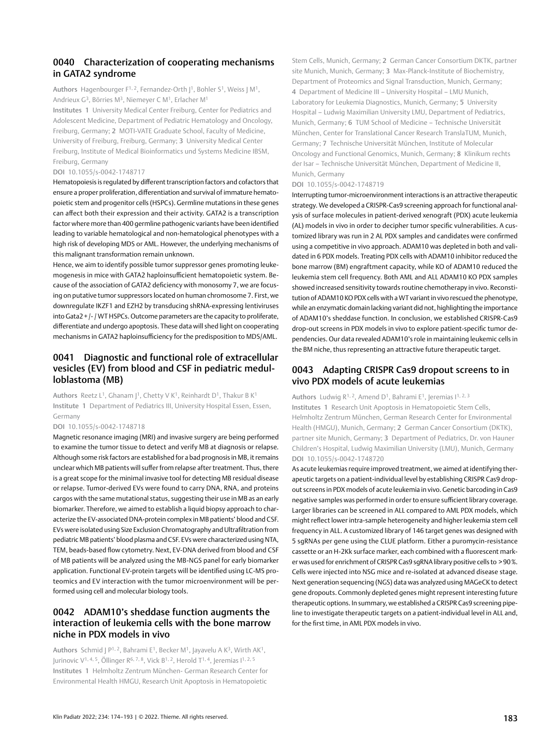### 0040 Characterization of cooperating mechanisms in GATA2 syndrome

Authors Hagenbourger F<sup>1, 2</sup>, Fernandez-Orth [<sup>1</sup>, Bohler S<sup>1</sup>, Weiss | M<sup>1</sup>, Andrieux G3, Börries M3, Niemeyer C M1, Erlacher M1

Institutes 1 University Medical Center Freiburg, Center for Pediatrics and Adolescent Medicine, Department of Pediatric Hematology and Oncology, Freiburg, Germany; 2 MOTI-VATE Graduate School, Faculty of Medicine, University of Freiburg, Freiburg, Germany; 3 University Medical Center Freiburg, Institute of Medical Bioinformatics und Systems Medicine IBSM, Freiburg, Germany

#### DOI 10.1055/s-0042-1748717

Hematopoiesis is regulated by different transcription factors and cofactors that ensure a proper proliferation, differentiation and survival of immature hematopoietic stem and progenitor cells (HSPCs). Germline mutations in these genes can affect both their expression and their activity. GATA2 is a transcription factor where more than 400 germline pathogenic variants have been identified leading to variable hematological and non-hematological phenotypes with a high risk of developing MDS or AML. However, the underlying mechanisms of this malignant transformation remain unknown.

Hence, we aim to identify possible tumor suppressor genes promoting leukemogenesis in mice with GATA2 haploinsufficient hematopoietic system. Because of the association of GATA2 deficiency with monosomy 7, we are focusing on putative tumor suppressors located on human chromosome 7. First, we downregulate IKZF1 and EZH2 by transducing shRNA-expressing lentiviruses into Gata2+/- / WT HSPCs. Outcome parameters are the capacity to proliferate, differentiate and undergo apoptosis. These data will shed light on cooperating mechanisms in GATA2 haploinsufficiency for the predisposition to MDS/AML.

# 0041 Diagnostic and functional role of extracellular vesicles (EV) from blood and CSF in pediatric medulloblastoma (MB)

Authors Reetz L<sup>1</sup>, Ghanam J<sup>1</sup>, Chetty V K<sup>1</sup>, Reinhardt D<sup>1</sup>, Thakur B K<sup>1</sup> Institute 1 Department of Pediatrics III, University Hospital Essen, Essen, Germany

#### DOI 10.1055/s-0042-1748718

Magnetic resonance imaging (MRI) and invasive surgery are being performed to examine the tumor tissue to detect and verify MB at diagnosis or relapse. Although some risk factors are established for a bad prognosis in MB, it remains unclear which MB patients will suffer from relapse after treatment. Thus, there is a great scope for the minimal invasive tool for detecting MB residual disease or relapse. Tumor-derived EVs were found to carry DNA, RNA, and proteins cargos with the same mutational status, suggesting their use in MB as an early biomarker. Therefore, we aimed to establish a liquid biopsy approach to characterize the EV-associated DNA-protein complex in MB patients' blood and CSF. EVs were isolated using Size Exclusion Chromatography and Ultrafiltration from pediatric MB patients' blood plasma and CSF. EVs were characterized using NTA, TEM, beads-based flow cytometry. Next, EV-DNA derived from blood and CSF of MB patients will be analyzed using the MB-NGS panel for early biomarker application. Functional EV-protein targets will be identified using LC-MS proteomics and EV interaction with the tumor microenvironment will be performed using cell and molecular biology tools.

### 0042 ADAM10's sheddase function augments the interaction of leukemia cells with the bone marrow niche in PDX models in vivo

Authors Schmid |  $P^{1, 2}$ , Bahrami E<sup>1</sup>, Becker M<sup>1</sup>, Jayavelu A K<sup>3</sup>, Wirth AK<sup>1</sup>, Jurinovic V1, 4, 5, Öllinger R6, 7, 8, Vick B1, 2, Herold T1, 4, Jeremias I1, 2, 5 Institutes 1 Helmholtz Zentrum München- German Research Center for Environmental Health HMGU, Research Unit Apoptosis in Hematopoietic

Stem Cells, Munich, Germany; 2 German Cancer Consortium DKTK, partner site Munich, Munich, Germany; 3 Max-Planck-Institute of Biochemistry, Department of Proteomics and Signal Transduction, Munich, Germany; 4 Department of Medicine III – University Hospital – LMU Munich, Laboratory for Leukemia Diagnostics, Munich, Germany; 5 University Hospital – Ludwig Maximilian University LMU, Department of Pediatrics, Munich, Germany; 6 TUM School of Medicine – Technische Universität München, Center for Translational Cancer Research TranslaTUM, Munich, Germany; 7 Technische Universität München, Institute of Molecular Oncology and Functional Genomics, Munich, Germany; 8 Klinikum rechts der Isar – Technische Universität München, Department of Medicine II, Munich, Germany

#### DOI 10.1055/s-0042-1748719

Interrupting tumor-microenvironment interactions is an attractive therapeutic strategy. We developed a CRISPR-Cas9 screening approach for functional analysis of surface molecules in patient-derived xenograft (PDX) acute leukemia (AL) models in vivo in order to decipher tumor specific vulnerabilities. A customized library was run in 2 AL PDX samples and candidates were confirmed using a competitive in vivo approach. ADAM10 was depleted in both and validated in 6 PDX models. Treating PDX cells with ADAM10 inhibitor reduced the bone marrow (BM) engraftment capacity, while KO of ADAM10 reduced the leukemia stem cell frequency. Both AML and ALL ADAM10 KO PDX samples showed increased sensitivity towards routine chemotherapy in vivo. Reconstitution of ADAM10 KO PDX cells with a WT variant in vivo rescued the phenotype, while an enzymatic domain lacking variant did not, highlighting the importance of ADAM10's sheddase function. In conclusion, we established CRISPR-Cas9 drop-out screens in PDX models in vivo to explore patient-specific tumor dependencies. Our data revealed ADAM10's role in maintaining leukemic cells in the BM niche, thus representing an attractive future therapeutic target.

#### 0043 Adapting CRISPR Cas9 dropout screens to in vivo PDX models of acute leukemias

Authors Ludwig  $R^{1, 2}$ , Amend D<sup>1</sup>, Bahrami E<sup>1</sup>, Jeremias  $1^{1, 2, 3}$ Institutes 1 Research Unit Apoptosis in Hematopoietic Stem Cells, Helmholtz Zentrum München, German Research Center for Environmental Health (HMGU), Munich, Germany; 2 German Cancer Consortium (DKTK), partner site Munich, Germany; 3 Department of Pediatrics, Dr. von Hauner Children's Hospital, Ludwig Maximilian University (LMU), Munich, Germany DOI 10.1055/s-0042-1748720

As acute leukemias require improved treatment, we aimed at identifying therapeutic targets on a patient-individual level by establishing CRISPR Cas9 dropout screens in PDX models of acute leukemia in vivo. Genetic barcoding in Cas9 negative samples was performed in order to ensure sufficient library coverage. Larger libraries can be screened in ALL compared to AML PDX models, which might reflect lower intra-sample heterogeneity and higher leukemia stem cell frequency in ALL. A customized library of 146 target genes was designed with 5 sgRNAs per gene using the CLUE platform. Either a puromycin-resistance cassette or an H-2Kk surface marker, each combined with a fluorescent marker was used for enrichment of CRISPR Cas9 sgRNA library positive cells to >90%. Cells were injected into NSG mice and re-isolated at advanced disease stage. Next generation sequencing (NGS) data was analyzed using MAGeCK to detect gene dropouts. Commonly depleted genes might represent interesting future therapeutic options. In summary, we established a CRISPR Cas9 screening pipeline to investigate therapeutic targets on a patient-individual level in ALL and, for the first time, in AML PDX models in vivo.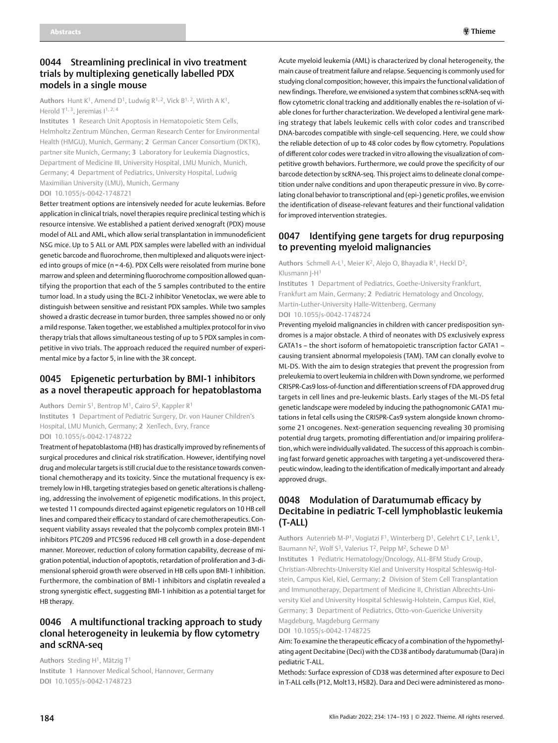## 0044 Streamlining preclinical in vivo treatment trials by multiplexing genetically labelled PDX models in a single mouse

Authors Hunt K<sup>1</sup>, Amend D<sup>1</sup>, Ludwig R<sup>1, 2</sup>, Vick B<sup>1, 2</sup>, Wirth A K<sup>1</sup>, Herold  $T^{1, 3}$ , Jeremias  $1^{1, 2, 4}$ 

Institutes 1 Research Unit Apoptosis in Hematopoietic Stem Cells, Helmholtz Zentrum München, German Research Center for Environmental Health (HMGU), Munich, Germany; 2 German Cancer Consortium (DKTK), partner site Munich, Germany; 3 Laboratory for Leukemia Diagnostics, Department of Medicine III, University Hospital, LMU Munich, Munich, Germany; 4 Department of Pediatrics, University Hospital, Ludwig Maximilian University (LMU), Munich, Germany DOI 10.1055/s-0042-1748721

Better treatment options are intensively needed for acute leukemias. Before application in clinical trials, novel therapies require preclinical testing which is resource intensive. We established a patient derived xenograft (PDX) mouse model of ALL and AML, which allow serial transplantation in immunodeficient NSG mice. Up to 5 ALL or AML PDX samples were labelled with an individual genetic barcode and fluorochrome, then multiplexed and aliquots were injected into groups of mice (n = 4-6). PDX Cells were reisolated from murine bone marrow and spleen and determining fluorochrome composition allowed quantifying the proportion that each of the 5 samples contributed to the entire tumor load. In a study using the BCL-2 inhibitor Venetoclax, we were able to distinguish between sensitive and resistant PDX samples. While two samples showed a drastic decrease in tumor burden, three samples showed no or only a mild response. Taken together, we established a multiplex protocol for in vivo therapy trials that allows simultaneous testing of up to 5 PDX samples in competitive in vivo trials. The approach reduced the required number of experimental mice by a factor 5, in line with the 3R concept.

### 0045 Epigenetic perturbation by BMI-1 inhibitors as a novel therapeutic approach for hepatoblastoma

Authors Demir S<sup>1</sup>, Bentrop M<sup>1</sup>, Cairo S<sup>2</sup>, Kappler R<sup>1</sup>

Institutes 1 Department of Pediatric Surgery, Dr. von Hauner Children's Hospital, LMU Munich, Germany; 2 XenTech, Evry, France

DOI 10.1055/s-0042-1748722

Treatment of hepatoblastoma (HB) has drastically improved by refinements of surgical procedures and clinical risk stratification. However, identifying novel drug and molecular targets is still crucial due to the resistance towards conventional chemotherapy and its toxicity. Since the mutational frequency is extremely low in HB, targeting strategies based on genetic alterations is challenging, addressing the involvement of epigenetic modifications. In this project, we tested 11 compounds directed against epigenetic regulators on 10 HB cell lines and compared their efficacy to standard of care chemotherapeutics. Consequent viability assays revealed that the polycomb complex protein BMI-1 inhibitors PTC209 and PTC596 reduced HB cell growth in a dose-dependent manner. Moreover, reduction of colony formation capability, decrease of migration potential, induction of apoptotis, retardation of proliferation and 3-dimensional spheroid growth were observed in HB cells upon BMI-1 inhibition. Furthermore, the combination of BMI-1 inhibitors and cisplatin revealed a strong synergistic effect, suggesting BMI-1 inhibition as a potential target for HB therapy.

# 0046 A multifunctional tracking approach to study clonal heterogeneity in leukemia by flow cytometry and scRNA-seq

Authors Steding  $H^1$ , Mätzig T<sup>1</sup> Institute 1 Hannover Medical School, Hannover, Germany DOI 10.1055/s-0042-1748723

Acute myeloid leukemia (AML) is characterized by clonal heterogeneity, the main cause of treatment failure and relapse. Sequencing is commonly used for studying clonal composition; however, this impairs the functional validation of new findings. Therefore, we envisioned a system that combines scRNA-seq with flow cytometric clonal tracking and additionally enables the re-isolation of viable clones for further characterization. We developed a lentiviral gene marking strategy that labels leukemic cells with color codes and transcribed DNA-barcodes compatible with single-cell sequencing. Here, we could show the reliable detection of up to 48 color codes by flow cytometry. Populations of different color codes were tracked in vitro allowing the visualization of competitive growth behaviors. Furthermore, we could prove the specificity of our barcode detection by scRNA-seq. This project aims to delineate clonal competition under naïve conditions and upon therapeutic pressure in vivo. By correlating clonal behavior to transcriptional and (epi-) genetic profiles, we envision the identification of disease-relevant features and their functional validation for improved intervention strategies.

# 0047 Identifying gene targets for drug repurposing to preventing myeloid malignancies

Authors Schmell A-L<sup>1</sup>, Meier K<sup>2</sup>, Alejo O, Bhayadia R<sup>1</sup>, Heckl D<sup>2</sup>, Klusmann J-H1

Institutes 1 Department of Pediatrics, Goethe-University Frankfurt, Frankfurt am Main, Germany; 2 Pediatric Hematology and Oncology, Martin-Luther-University Halle-Wittenberg, Germany DOI 10.1055/s-0042-1748724

Preventing myeloid malignancies in children with cancer predisposition syndromes is a major obstacle. A third of neonates with DS exclusively express GATA1s – the short isoform of hematopoietic transcription factor GATA1 – causing transient abnormal myelopoiesis (TAM). TAM can clonally evolve to ML-DS. With the aim to design strategies that prevent the progression from preleukemia to overt leukemia in children with Down syndrome, we performed CRISPR-Cas9 loss-of-function and differentiation screens of FDA approved drug targets in cell lines and pre-leukemic blasts. Early stages of the ML-DS fetal genetic landscape were modeled by inducing the pathognomonic GATA1 mutations in fetal cells using the CRISPR-Cas9 system alongside known chromosome 21 oncogenes. Next-generation sequencing revealing 30 promising potential drug targets, promoting differentiation and/or impairing proliferation, which were individually validated. The success of this approach is combining fast forward genetic approaches with targeting a yet-undiscovered therapeutic window, leading to the identification of medically important and already approved drugs.

# 0048 Modulation of Daratumumab efficacy by Decitabine in pediatric T-cell lymphoblastic leukemia (T-ALL)

Authors Autenrieb M-P<sup>1</sup>, Vogiatzi F<sup>1</sup>, Winterberg D<sup>1</sup>, Gelehrt C L<sup>2</sup>, Lenk L<sup>1</sup>, Baumann N<sup>2</sup>, Wolf S<sup>3</sup>, Valerius T<sup>2</sup>, Peipp M<sup>2</sup>, Schewe D M<sup>3</sup> Institutes 1 Pediatric Hematology/Oncology, ALL-BFM Study Group, Christian-Albrechts-University Kiel and University Hospital Schleswig-Holstein, Campus Kiel, Kiel, Germany; 2 Division of Stem Cell Transplantation and Immunotherapy, Department of Medicine II, Christian Albrechts-University Kiel and University Hospital Schleswig-Holstein, Campus Kiel, Kiel, Germany; 3 Department of Pediatrics, Otto-von-Guericke University Magdeburg, Magdeburg Germany

DOI 10.1055/s-0042-1748725

Aim: To examine the therapeutic efficacy of a combination of the hypomethylating agent Decitabine (Deci) with the CD38 antibody daratumumab (Dara) in pediatric T-ALL.

Methods: Surface expression of CD38 was determined after exposure to Deci in T-ALL cells (P12, Molt13, HSB2). Dara and Deci were administered as mono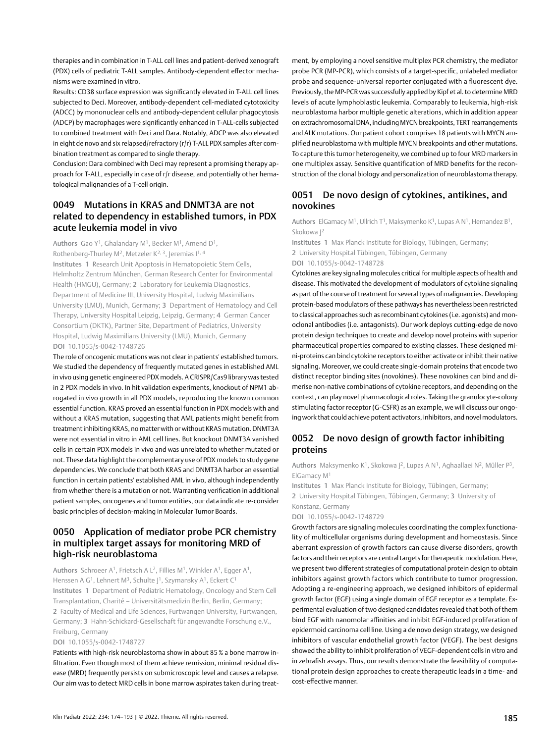therapies and in combination in T-ALL cell lines and patient-derived xenograft (PDX) cells of pediatric T-ALL samples. Antibody-dependent effector mechanisms were examined in vitro.

Results: CD38 surface expression was significantly elevated in T-ALL cell lines subjected to Deci. Moreover, antibody-dependent cell-mediated cytotoxicity (ADCC) by mononuclear cells and antibody-dependent cellular phagocytosis (ADCP) by macrophages were significantly enhanced in T-ALL-cells subjected to combined treatment with Deci and Dara. Notably, ADCP was also elevated in eight de novo and six relapsed/refractory (r/r) T-ALL PDX samples after combination treatment as compared to single therapy.

Conclusion: Dara combined with Deci may represent a promising therapy approach for T-ALL, especially in case of r/r disease, and potentially other hematological malignancies of a T-cell origin.

# 0049 Mutations in KRAS and DNMT3A are not related to dependency in established tumors, in PDX acute leukemia model in vivo

Authors Gao Y<sup>1</sup>, Ghalandary M<sup>1</sup>, Becker M<sup>1</sup>, Amend D<sup>1</sup>, Rothenberg-Thurley M<sup>2</sup>, Metzeler K<sup>2, 3</sup>, Jeremias I<sup>1, 4</sup>

Institutes 1 Research Unit Apoptosis in Hematopoietic Stem Cells, Helmholtz Zentrum München, German Research Center for Environmental Health (HMGU), Germany; 2 Laboratory for Leukemia Diagnostics, Department of Medicine III, University Hospital, Ludwig Maximilians University (LMU), Munich, Germany; 3 Department of Hematology and Cell Therapy, University Hospital Leipzig, Leipzig, Germany; 4 German Cancer Consortium (DKTK), Partner Site, Department of Pediatrics, University Hospital, Ludwig Maximilians University (LMU), Munich, Germany DOI 10.1055/s-0042-1748726

The role of oncogenic mutations was not clear in patients' established tumors. We studied the dependency of frequently mutated genes in established AML in vivo using genetic engineered PDX models. A CRISPR/Cas9 library was tested in 2 PDX models in vivo. In hit validation experiments, knockout of NPM1 abrogated in vivo growth in all PDX models, reproducing the known common essential function. KRAS proved an essential function in PDX models with and without a KRAS mutation, suggesting that AML patients might benefit from treatment inhibiting KRAS, no matter with or without KRAS mutation. DNMT3A were not essential in vitro in AML cell lines. But knockout DNMT3A vanished cells in certain PDX models in vivo and was unrelated to whether mutated or not. These data highlight the complementary use of PDX models to study gene dependencies. We conclude that both KRAS and DNMT3A harbor an essential function in certain patients' established AML in vivo, although independently from whether there is a mutation or not. Warranting verification in additional patient samples, oncogenes and tumor entities, our data indicate re-consider basic principles of decision-making in Molecular Tumor Boards.

# 0050 Application of mediator probe PCR chemistry in multiplex target assays for monitoring MRD of high-risk neuroblastoma

Authors Schroeer A1, Frietsch A L2, Fillies M1, Winkler A1, Egger A1, Henssen A G<sup>1</sup>, Lehnert M<sup>3</sup>, Schulte J<sup>1</sup>, Szymansky A<sup>1</sup>, Eckert C<sup>1</sup> Institutes 1 Department of Pediatric Hematology, Oncology and Stem Cell Transplantation, Charité – Universitätsmedizin Berlin, Berlin, Germany; 2 Faculty of Medical and Life Sciences, Furtwangen University, Furtwangen, Germany; 3 Hahn-Schickard-Gesellschaft für angewandte Forschung e.V., Freiburg, Germany

#### DOI 10.1055/s-0042-1748727

Patients with high-risk neuroblastoma show in about 85% a bone marrow infiltration. Even though most of them achieve remission, minimal residual disease (MRD) frequently persists on submicroscopic level and causes a relapse. Our aim was to detect MRD cells in bone marrow aspirates taken during treatment, by employing a novel sensitive multiplex PCR chemistry, the mediator probe PCR (MP-PCR), which consists of a target-specific, unlabeled mediator probe and sequence-universal reporter conjugated with a fluorescent dye. Previously, the MP-PCR was successfully applied by Kipf et al. to determine MRD levels of acute lymphoblastic leukemia. Comparably to leukemia, high-risk neuroblastoma harbor multiple genetic alterations, which in addition appear on extrachromosomal DNA, including MYCN breakpoints, TERT rearrangements and ALK mutations. Our patient cohort comprises 18 patients with MYCN amplified neuroblastoma with multiple MYCN breakpoints and other mutations. To capture this tumor heterogeneity, we combined up to four MRD markers in one multiplex assay. Sensitive quantification of MRD benefits for the reconstruction of the clonal biology and personalization of neuroblastoma therapy.

#### 0051 De novo design of cytokines, antikines, and novokines

Authors ElGamacy M<sup>1</sup>, Ullrich T<sup>1</sup>, Maksymenko K<sup>1</sup>, Lupas A N<sup>1</sup>, Hernandez B<sup>1</sup>, Skokowa J2

Institutes 1 Max Planck Institute for Biology, Tübingen, Germany; 2 University Hospital Tübingen, Tübingen, Germany DOI 10.1055/s-0042-1748728

Cytokines are key signaling molecules critical for multiple aspects of health and disease. This motivated the development of modulators of cytokine signaling as part of the course of treatment for several types of malignancies. Developing protein-based modulators of these pathways has nevertheless been restricted to classical approaches such as recombinant cytokines (i.e. agonists) and monoclonal antibodies (i.e. antagonists). Our work deploys cutting-edge de novo protein design techniques to create and develop novel proteins with superior pharmaceutical properties compared to existing classes. These designed mini-proteins can bind cytokine receptors to either activate or inhibit their native signaling. Moreover, we could create single-domain proteins that encode two distinct receptor binding sites (novokines). These novokines can bind and dimerise non-native combinations of cytokine receptors, and depending on the context, can play novel pharmacological roles. Taking the granulocyte-colony stimulating factor receptor (G-CSFR) as an example, we will discuss our ongoing work that could achieve potent activators, inhibitors, and novel modulators.

# 0052 De novo design of growth factor inhibiting proteins

Authors Maksymenko K<sup>1</sup>, Skokowa |<sup>2</sup>, Lupas A N<sup>1</sup>, Aghaallaei N<sup>2</sup>, Müller P<sup>3</sup>, ElGamacy M1

Institutes 1 Max Planck Institute for Biology, Tübingen, Germany; 2 University Hospital Tübingen, Tübingen, Germany; 3 University of Konstanz, Germany

#### DOI 10.1055/s-0042-1748729

Growth factors are signaling molecules coordinating the complex functionality of multicellular organisms during development and homeostasis. Since aberrant expression of growth factors can cause diverse disorders, growth factors and their receptors are central targets for therapeutic modulation. Here, we present two different strategies of computational protein design to obtain inhibitors against growth factors which contribute to tumor progression. Adopting a re-engineering approach, we designed inhibitors of epidermal growth factor (EGF) using a single domain of EGF receptor as a template. Experimental evaluation of two designed candidates revealed that both of them bind EGF with nanomolar affinities and inhibit EGF-induced proliferation of epidermoid carcinoma cell line. Using a de novo design strategy, we designed inhibitors of vascular endothelial growth factor (VEGF). The best designs showed the ability to inhibit proliferation of VEGF-dependent cells in vitro and in zebrafish assays. Thus, our results demonstrate the feasibility of computational protein design approaches to create therapeutic leads in a time- and cost-effective manner.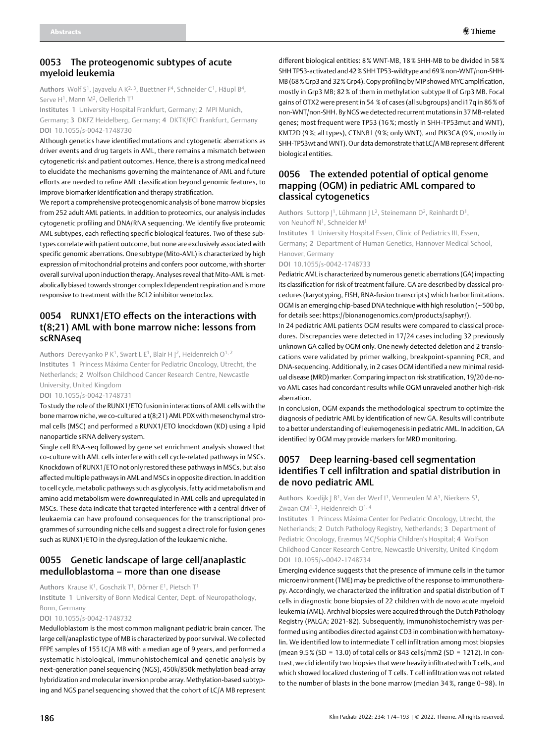#### 0053 The proteogenomic subtypes of acute myeloid leukemia

Authors Wolf S1, Jayavelu A K2, 3, Buettner F4, Schneider C1, Häupl B4, Serve H<sup>1</sup>, Mann M<sup>2</sup>, Oellerich T<sup>1</sup>

Institutes 1 University Hospital Frankfurt, Germany; 2 MPI Munich, Germany; 3 DKFZ Heidelberg, Germany; 4 DKTK/FCI Frankfurt, Germany DOI 10.1055/s-0042-1748730

Although genetics have identified mutations and cytogenetic aberrations as driver events and drug targets in AML, there remains a mismatch between cytogenetic risk and patient outcomes. Hence, there is a strong medical need to elucidate the mechanisms governing the maintenance of AML and future efforts are needed to refine AML classification beyond genomic features, to improve biomarker identification and therapy stratification.

We report a comprehensive proteogenomic analysis of bone marrow biopsies from 252 adult AML patients. In addition to proteomics, our analysis includes cytogenetic profiling and DNA/RNA sequencing. We identify five proteomic AML subtypes, each reflecting specific biological features. Two of these subtypes correlate with patient outcome, but none are exclusively associated with specific genomic aberrations. One subtype (Mito-AML) is characterized by high expression of mitochondrial proteins and confers poor outcome, with shorter overall survival upon induction therapy. Analyses reveal that Mito-AML is metabolically biased towards stronger complex I dependent respiration and is more responsive to treatment with the BCL2 inhibitor venetoclax.

### 0054 RUNX1/ETO effects on the interactions with t(8;21) AML with bone marrow niche: lessons from scRNAseq

Authors Derevyanko P K<sup>1</sup>, Swart L E<sup>1</sup>, Blair H  $]^{2}$ , Heidenreich O<sup>1, 2</sup> Institutes 1 Princess Máxima Center for Pediatric Oncology, Utrecht, the Netherlands; 2 Wolfson Childhood Cancer Research Centre, Newcastle University, United Kingdom

DOI 10.1055/s-0042-1748731

To study the role of the RUNX1/ETO fusion in interactions of AML cells with the bone marrow niche, we co-cultured a t(8;21) AML PDX with mesenchymal stromal cells (MSC) and performed a RUNX1/ETO knockdown (KD) using a lipid nanoparticle siRNA delivery system.

Single cell RNA-seq followed by gene set enrichment analysis showed that co-culture with AML cells interfere with cell cycle-related pathways in MSCs. Knockdown of RUNX1/ETO not only restored these pathways in MSCs, but also affected multiple pathways in AML and MSCs in opposite direction. In addition to cell cycle, metabolic pathways such as glycolysis, fatty acid metabolism and amino acid metabolism were downregulated in AML cells and upregulated in MSCs. These data indicate that targeted interference with a central driver of leukaemia can have profound consequences for the transcriptional programmes of surrounding niche cells and suggest a direct role for fusion genes such as RUNX1/ETO in the dysregulation of the leukaemic niche.

#### 0055 Genetic landscape of large cell/anaplastic medulloblastoma – more than one disease

Authors Krause K1, Goschzik T1, Dörner E1, Pietsch T1

Institute 1 University of Bonn Medical Center, Dept. of Neuropathology, Bonn, Germany

DOI 10.1055/s-0042-1748732

Medulloblastom is the most common malignant pediatric brain cancer. The large cell/anaplastic type of MB is characterized by poor survival. We collected FFPE samples of 155 LC/A MB with a median age of 9 years, and performed a systematic histological, immunohistochemical and genetic analysis by next-generation panel sequencing (NGS), 450k/850k methylation bead-array hybridization and molecular inversion probe array. Methylation-based subtyping and NGS panel sequencing showed that the cohort of LC/A MB represent

different biological entities: 8% WNT-MB, 18% SHH-MB to be divided in 58% SHH TP53-activated and 42% SHH TP53-wildtype and 69% non-WNT/non-SHH-MB (68% Grp3 and 32% Grp4). Copy profiling by MIP showed MYC amplification, mostly in Grp3 MB; 82% of them in methylation subtype II of Grp3 MB. Focal gains of OTX2 were present in 54 % of cases (all subgroups) and i17q in 86% of non-WNT/non-SHH. By NGS we detected recurrent mutations in 37 MB-related genes; most frequent were TP53 (16 %; mostly in SHH-TP53mut and WNT), KMT2D (9%; all types), CTNNB1 (9%; only WNT), and PIK3CA (9%, mostly in SHH-TP53wt and WNT). Our data demonstrate that LC/A MB represent different biological entities.

# 0056 The extended potential of optical genome mapping (OGM) in pediatric AML compared to classical cytogenetics

Authors Suttorp  $1^1$ , Lühmann J L<sup>2</sup>, Steinemann D<sup>2</sup>, Reinhardt D<sup>1</sup>, von Neuhoff N1, Schneider M1

Institutes 1 University Hospital Essen, Clinic of Pediatrics III, Essen, Germany; 2 Department of Human Genetics, Hannover Medical School, Hanover, Germany

DOI 10.1055/s-0042-1748733

Pediatric AML is characterized by numerous genetic aberrations (GA) impacting its classification for risk of treatment failure. GA are described by classical procedures (karyotyping, FISH, RNA-fusion transcripts) which harbor limitations. OGM is an emerging chip-based DNA technique with high resolution (~500 bp, for details see: https://bionanogenomics.com/products/saphyr/).

In 24 pediatric AML patients OGM results were compared to classical procedures. Discrepancies were detected in 17/24 cases including 32 previously unknown GA called by OGM only. One newly detected deletion and 2 translocations were validated by primer walking, breakpoint-spanning PCR, and DNA-sequencing. Additionally, in 2 cases OGM identified a new minimal residual disease (MRD) marker. Comparing impact on risk stratification, 19/20 de-novo AML cases had concordant results while OGM unraveled another high-risk aberration.

In conclusion, OGM expands the methodological spectrum to optimize the diagnosis of pediatric AML by identification of new GA. Results will contribute to a better understanding of leukemogenesis in pediatric AML. In addition, GA identified by OGM may provide markers for MRD monitoring.

### 0057 Deep learning-based cell segmentation identifies T cell infiltration and spatial distribution in de novo pediatric AML

Authors Koedijk | B<sup>1</sup>, Van der Werf I<sup>1</sup>, Vermeulen M A<sup>1</sup>, Nierkens S<sup>1</sup>, Zwaan CM1, 3, Heidenreich O1, 4

Institutes 1 Princess Máxima Center for Pediatric Oncology, Utrecht, the Netherlands; 2 Dutch Pathology Registry, Netherlands; 3 Department of Pediatric Oncology, Erasmus MC/Sophia Children's Hospital; 4 Wolfson Childhood Cancer Research Centre, Newcastle University, United Kingdom DOI 10.1055/s-0042-1748734

Emerging evidence suggests that the presence of immune cells in the tumor microenvironment (TME) may be predictive of the response to immunotherapy. Accordingly, we characterized the infiltration and spatial distribution of T cells in diagnostic bone biopsies of 22 children with de novo acute myeloid leukemia (AML). Archival biopsies were acquired through the Dutch Pathology Registry (PALGA; 2021-82). Subsequently, immunohistochemistry was performed using antibodies directed against CD3 in combination with hematoxylin. We identified low to intermediate T cell infiltration among most biopsies (mean 9.5% (SD = 13.0) of total cells or 843 cells/mm2 (SD = 1212). In contrast, we did identify two biopsies that were heavily infiltrated with T cells, and which showed localized clustering of T cells. T cell infiltration was not related to the number of blasts in the bone marrow (median 34 %, range 0–98). In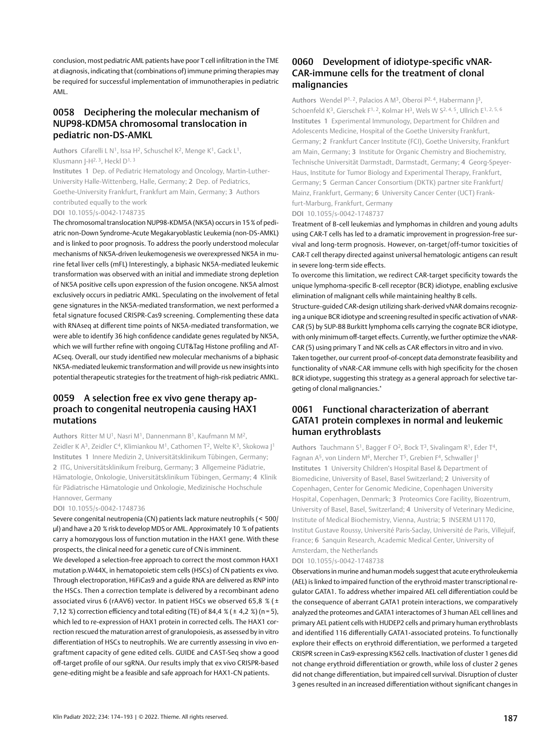conclusion, most pediatric AML patients have poor T cell infiltration in the TME at diagnosis, indicating that (combinations of) immune priming therapies may be required for successful implementation of immunotherapies in pediatric AML.

### 0058 Deciphering the molecular mechanism of NUP98-KDM5A chromosomal translocation in pediatric non-DS-AMKL

Authors Cifarelli L N<sup>1</sup>, Issa H<sup>2</sup>, Schuschel K<sup>2</sup>, Menge K<sup>1</sup>, Gack L<sup>1</sup>, Klusmann  $[-H^{2, 3}, Heck]$   $D^{1, 3}$ 

Institutes 1 Dep. of Pediatric Hematology and Oncology, Martin-Luther-University Halle-Wittenberg, Halle, Germany; 2 Dep. of Pediatrics, Goethe-University Frankfurt, Frankfurt am Main, Germany; 3 Authors contributed equally to the work DOI 10.1055/s-0042-1748735

The chromosomal translocation NUP98-KDM5A (NK5A) occurs in 15% of pediatric non-Down Syndrome-Acute Megakaryoblastic Leukemia (non-DS-AMKL) and is linked to poor prognosis. To address the poorly understood molecular mechanisms of NK5A-driven leukemogenesis we overexpressed NK5A in murine fetal liver cells (mFL) Interestingly, a biphasic NK5A-mediated leukemic transformation was observed with an initial and immediate strong depletion of NK5A positive cells upon expression of the fusion oncogene. NK5A almost exclusively occurs in pediatric AMKL. Speculating on the involvement of fetal gene signatures in the NK5A-mediated transformation, we next performed a fetal signature focused CRISPR-Cas9 screening. Complementing these data with RNAseq at different time points of NK5A-mediated transformation, we were able to identify 36 high confidence candidate genes regulated by NK5A, which we will further refine with ongoing CUT&Tag Histone profiling and AT-ACseq. Overall, our study identified new molecular mechanisms of a biphasic NK5A-mediated leukemic transformation and will provide us new insights into potential therapeutic strategies for the treatment of high-risk pediatric AMKL.

# 0059 A selection free ex vivo gene therapy approach to congenital neutropenia causing HAX1 mutations

Authors Ritter M  $U^1$ , Nasri M<sup>1</sup>, Dannenmann B<sup>1</sup>, Kaufmann M M<sup>2</sup>, Zeidler K A<sup>3</sup>, Zeidler C<sup>4</sup>, Klimiankou M<sup>1</sup>, Cathomen T<sup>2</sup>, Welte K<sup>3</sup>, Skokowa |<sup>1</sup> Institutes 1 Innere Medizin 2, Universitätsklinikum Tübingen, Germany; 2 ITG, Universitätsklinikum Freiburg, Germany; 3 Allgemeine Pädiatrie, Hämatologie, Onkologie, Universitätsklinikum Tübingen, Germany; 4 Klinik für Pädiatrische Hämatologie und Onkologie, Medizinische Hochschule Hannover, Germany

#### DOI 10.1055/s-0042-1748736

Severe congenital neutropenia (CN) patients lack mature neutrophils ( < 500/ µl) and have a 20 % risk to develop MDS or AML. Approximately 10 % of patients carry a homozygous loss of function mutation in the HAX1 gene. With these prospects, the clinical need for a genetic cure of CN is imminent.

We developed a selection-free approach to correct the most common HAX1 mutation p.W44X, in hematopoietic stem cells (HSCs) of CN patients ex vivo. Through electroporation, HiFiCas9 and a guide RNA are delivered as RNP into the HSCs. Then a correction template is delivered by a recombinant adeno associated virus 6 (rAAV6) vector. In patient HSCs we observed 65,8 % ( $\pm$ 7,12 %) correction efficiency and total editing (TE) of 84,4 % ( $\pm$  4,2 %) (n = 5), which led to re-expression of HAX1 protein in corrected cells. The HAX1 correction rescued the maturation arrest of granulopoiesis, as assessed by in vitro differentiation of HSCs to neutrophils. We are currently assessing in vivo engraftment capacity of gene edited cells. GUIDE and CAST-Seq show a good off-target profile of our sgRNA. Our results imply that ex vivo CRISPR-based gene-editing might be a feasible and safe approach for HAX1-CN patients.

## 0060 Development of idiotype-specific vNAR-CAR-immune cells for the treatment of clonal malignancies

Authors Wendel P<sup>1, 2</sup>, Palacios A M<sup>3</sup>, Oberoi P<sup>2, 4</sup>, Habermann J<sup>3</sup>, Schoenfeld K<sup>3</sup>, Gierschek F<sup>1, 2</sup>, Kolmar H<sup>3</sup>, Wels W S<sup>2, 4, 5</sup>, Ullrich E<sup>1, 2, 5, 6</sup> Institutes 1 Experimental Immunology, Department for Children and Adolescents Medicine, Hospital of the Goethe University Frankfurt, Germany; 2 Frankfurt Cancer Institute (FCI), Goethe University, Frankfurt am Main, Germany; 3 Institute for Organic Chemistry and Biochemistry, Technische Universität Darmstadt, Darmstadt, Germany; 4 Georg-Speyer-Haus, Institute for Tumor Biology and Experimental Therapy, Frankfurt, Germany; 5 German Cancer Consortium (DKTK) partner site Frankfurt/ Mainz, Frankfurt, Germany; 6 University Cancer Center (UCT) Frankfurt-Marburg, Frankfurt, Germany DOI 10.1055/s-0042-1748737

Treatment of B-cell leukemias and lymphomas in children and young adults using CAR-T cells has led to a dramatic improvement in progression-free survival and long-term prognosis. However, on-target/off-tumor toxicities of CAR-T cell therapy directed against universal hematologic antigens can result in severe long-term side effects.

To overcome this limitation, we redirect CAR-target specificity towards the unique lymphoma-specific B-cell receptor (BCR) idiotype, enabling exclusive elimination of malignant cells while maintaining healthy B cells.

Structure-guided CAR-design utilizing shark-derived vNAR domains recognizing a unique BCR idiotype and screening resulted in specific activation of vNAR-CAR (5) by SUP-B8 Burkitt lymphoma cells carrying the cognate BCR idiotype, with only minimum off-target effects. Currently, we further optimize the vNAR-CAR (5) using primary T and NK cells as CAR effectors in vitro and in vivo. Taken together, our current proof-of-concept data demonstrate feasibility and functionality of vNAR-CAR immune cells with high specificity for the chosen BCR idiotype, suggesting this strategy as a general approach for selective targeting of clonal malignancies."

### 0061 Functional characterization of aberrant GATA1 protein complexes in normal and leukemic human erythroblasts

Authors Tauchmann S<sup>1</sup>, Bagger F O<sup>2</sup>, Bock T<sup>3</sup>, Sivalingam R<sup>1</sup>, Eder T<sup>4</sup>, Fagnan A<sup>5</sup>, von Lindern M<sup>6</sup>, Mercher T<sup>5</sup>, Grebien F<sup>4</sup>, Schwaller J<sup>1</sup> Institutes 1 University Children's Hospital Basel & Department of Biomedicine, University of Basel, Basel Switzerland; 2 University of Copenhagen, Center for Genomic Medicine, Copenhagen University Hospital, Copenhagen, Denmark; 3 Proteomics Core Facility, Biozentrum, University of Basel, Basel, Switzerland; 4 University of Veterinary Medicine, Institute of Medical Biochemistry, Vienna, Austria; 5 INSERM U1170, Institut Gustave Roussy, Université Paris-Saclay, Université de Paris, Villejuif, France; 6 Sanquin Research, Academic Medical Center, University of Amsterdam, the Netherlands

#### DOI 10.1055/s-0042-1748738

Observations in murine and human models suggest that acute erythroleukemia (AEL) is linked to impaired function of the erythroid master transcriptional regulator GATA1. To address whether impaired AEL cell differentiation could be the consequence of aberrant GATA1 protein interactions, we comparatively analyzed the proteomes and GATA1 interactomes of 3 human AEL cell lines and primary AEL patient cells with HUDEP2 cells and primary human erythroblasts and identified 116 differentially GATA1-associated proteins. To functionally explore their effects on erythroid differentiation, we performed a targeted CRISPR screen in Cas9-expressing K562 cells. Inactivation of cluster 1 genes did not change erythroid differentiation or growth, while loss of cluster 2 genes did not change differentiation, but impaired cell survival. Disruption of cluster 3 genes resulted in an increased differentiation without significant changes in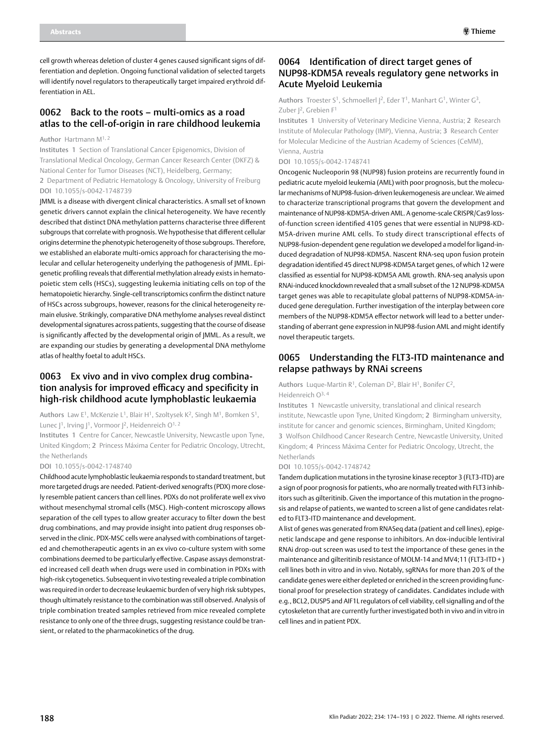cell growth whereas deletion of cluster 4 genes caused significant signs of differentiation and depletion. Ongoing functional validation of selected targets will identify novel regulators to therapeutically target impaired erythroid differentiation in AEL.

### 0062 Back to the roots – multi-omics as a road atlas to the cell-of-origin in rare childhood leukemia

Author Hartmann M1, 2

Institutes 1 Section of Translational Cancer Epigenomics, Division of Translational Medical Oncology, German Cancer Research Center (DKFZ) & National Center for Tumor Diseases (NCT), Heidelberg, Germany;

2 Department of Pediatric Hematology & Oncology, University of Freiburg DOI 10.1055/s-0042-1748739

JMML is a disease with divergent clinical characteristics. A small set of known genetic drivers cannot explain the clinical heterogeneity. We have recently described that distinct DNA methylation patterns characterise three different subgroups that correlate with prognosis. We hypothesise that different cellular origins determine the phenotypic heterogeneity of those subgroups. Therefore, we established an elaborate multi-omics approach for characterising the molecular and cellular heterogeneity underlying the pathogenesis of JMML. Epigenetic profiling reveals that differential methylation already exists in hematopoietic stem cells (HSCs), suggesting leukemia initiating cells on top of the hematopoietic hierarchy. Single-cell transcriptomics confirm the distinct nature of HSCs across subgroups, however, reasons for the clinical heterogeneity remain elusive. Strikingly, comparative DNA methylome analyses reveal distinct developmental signatures across patients, suggesting that the course of disease is significantly affected by the developmental origin of JMML. As a result, we are expanding our studies by generating a developmental DNA methylome atlas of healthy foetal to adult HSCs.

# 0063 Ex vivo and in vivo complex drug combination analysis for improved efficacy and specificity in high-risk childhood acute lymphoblastic leukaemia

Authors Law E<sup>1</sup>, McKenzie L<sup>1</sup>, Blair H<sup>1</sup>, Szoltysek K<sup>2</sup>, Singh M<sup>1</sup>, Bomken S<sup>1</sup>, Lunec  $]$ <sup>1</sup>, Irving  $]$ <sup>1</sup>, Vormoor  $]$ <sup>2</sup>, Heidenreich O<sup>1, 2</sup>

Institutes 1 Centre for Cancer, Newcastle University, Newcastle upon Tyne, United Kingdom; 2 Princess Máxima Center for Pediatric Oncology, Utrecht, the Netherlands

#### DOI 10.1055/s-0042-1748740

Childhood acute lymphoblastic leukaemia responds to standard treatment, but more targeted drugs are needed. Patient-derived xenografts (PDX) more closely resemble patient cancers than cell lines. PDXs do not proliferate well ex vivo without mesenchymal stromal cells (MSC). High-content microscopy allows separation of the cell types to allow greater accuracy to filter down the best drug combinations, and may provide insight into patient drug responses observed in the clinic. PDX-MSC cells were analysed with combinations of targeted and chemotherapeutic agents in an ex vivo co-culture system with some combinations deemed to be particularly effective. Caspase assays demonstrated increased cell death when drugs were used in combination in PDXs with high-risk cytogenetics. Subsequent in vivo testing revealed a triple combination was required in order to decrease leukaemic burden of very high risk subtypes, though ultimately resistance to the combination was still observed. Analysis of triple combination treated samples retrieved from mice revealed complete resistance to only one of the three drugs, suggesting resistance could be transient, or related to the pharmacokinetics of the drug.

### 0064 Identification of direct target genes of NUP98-KDM5A reveals regulatory gene networks in Acute Myeloid Leukemia

Authors Troester S<sup>1</sup>, Schmoellerl  $]^{2}$ , Eder T<sup>1</sup>, Manhart G<sup>1</sup>, Winter G<sup>3</sup>, Zuber J<sup>2</sup>, Grebien F<sup>1</sup>

Institutes 1 University of Veterinary Medicine Vienna, Austria; 2 Research Institute of Molecular Pathology (IMP), Vienna, Austria; 3 Research Center for Molecular Medicine of the Austrian Academy of Sciences (CeMM), Vienna, Austria

DOI 10.1055/s-0042-1748741

Oncogenic Nucleoporin 98 (NUP98) fusion proteins are recurrently found in pediatric acute myeloid leukemia (AML) with poor prognosis, but the molecular mechanisms of NUP98-fusion-driven leukemogenesis are unclear. We aimed to characterize transcriptional programs that govern the development and maintenance of NUP98-KDM5A-driven AML. A genome-scale CRISPR/Cas9 lossof-function screen identified 4105 genes that were essential in NUP98-KD-M5A-driven murine AML cells. To study direct transcriptional effects of NUP98-fusion-dependent gene regulation we developed a model for ligand-induced degradation of NUP98-KDM5A. Nascent RNA-seq upon fusion protein degradation identified 45 direct NUP98-KDM5A target genes, of which 12 were classified as essential for NUP98-KDM5A AML growth. RNA-seq analysis upon RNAi-induced knockdown revealed that a small subset of the 12 NUP98-KDM5A target genes was able to recapitulate global patterns of NUP98-KDM5A-induced gene deregulation. Further investigation of the interplay between core members of the NUP98-KDM5A effector network will lead to a better understanding of aberrant gene expression in NUP98-fusion AML and might identify novel therapeutic targets.

## 0065 Understanding the FLT3-ITD maintenance and relapse pathways by RNAi screens

Authors Luque-Martin  $R^1$ , Coleman D<sup>2</sup>, Blair H<sup>1</sup>, Bonifer C<sup>2</sup>, Heidenreich O3, 4

Institutes 1 Newcastle university, translational and clinical research institute, Newcastle upon Tyne, United Kingdom; 2 Birmingham university, institute for cancer and genomic sciences, Birmingham, United Kingdom; 3 Wolfson Childhood Cancer Research Centre, Newcastle University, United Kingdom; 4 Princess Máxima Center for Pediatric Oncology, Utrecht, the Netherlands

DOI 10.1055/s-0042-1748742

Tandem duplication mutations in the tyrosine kinase receptor 3 (FLT3-ITD) are a sign of poor prognosis for patients, who are normally treated with FLT3 inhibitors such as gilteritinib. Given the importance of this mutation in the prognosis and relapse of patients, we wanted to screen a list of gene candidates related to FLT3-ITD maintenance and development.

A list of genes was generated from RNASeq data (patient and cell lines), epigenetic landscape and gene response to inhibitors. An dox-inducible lentiviral RNAi drop-out screen was used to test the importance of these genes in the maintenance and gilteritinib resistance of MOLM-14 and MV4;11 (FLT3-ITD+ ) cell lines both in vitro and in vivo. Notably, sgRNAs for more than 20 % of the candidate genes were either depleted or enriched in the screen providing functional proof for preselection strategy of candidates. Candidates include with e.g., BCL2, DUSP5 and AIF1L regulators of cell viability, cell signalling and of the cytoskeleton that are currently further investigated both in vivo and in vitro in cell lines and in patient PDX.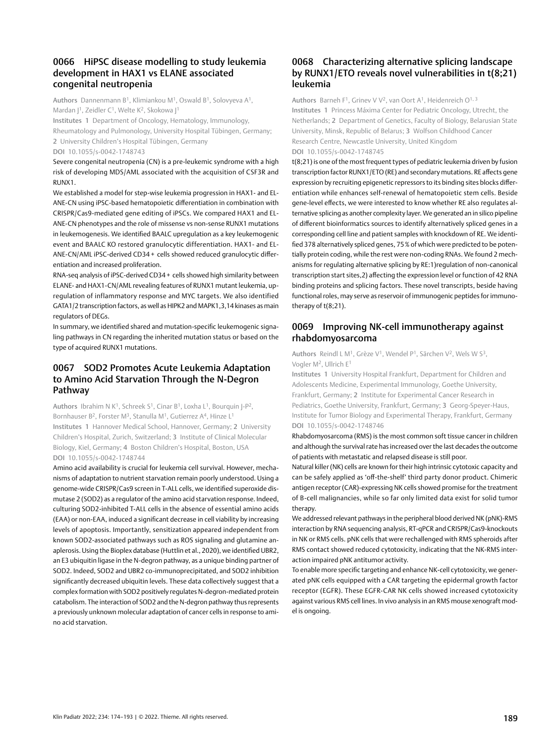# 0066 HiPSC disease modelling to study leukemia development in HAX1 vs ELANE associated congenital neutropenia

Authors Dannenmann B1, Klimiankou M1, Oswald B1, Solovyeva A1, Mardan J<sup>1</sup>, Zeidler C<sup>1</sup>, Welte K<sup>2</sup>, Skokowa J<sup>1</sup>

Institutes 1 Department of Oncology, Hematology, Immunology, Rheumatology and Pulmonology, University Hospital Tübingen, Germany; 2 University Children's Hospital Tübingen, Germany DOI 10.1055/s-0042-1748743

Severe congenital neutropenia (CN) is a pre-leukemic syndrome with a high risk of developing MDS/AML associated with the acquisition of CSF3R and RUNX1.

We established a model for step-wise leukemia progression in HAX1- and EL-ANE-CN using iPSC-based hematopoietic differentiation in combination with CRISPR/Cas9-mediated gene editing of iPSCs. We compared HAX1 and EL-ANE-CN phenotypes and the role of missense vs non-sense RUNX1 mutations in leukemogenesis. We identified BAALC upregulation as a key leukemogenic event and BAALC KO restored granulocytic differentiation. HAX1- and EL-ANE-CN/AML iPSC-derived CD34 + cells showed reduced granulocytic differentiation and increased proliferation.

RNA-seq analysis of iPSC-derived CD34 + cells showed high similarity between ELANE- and HAX1-CN/AML revealing features of RUNX1 mutant leukemia, upregulation of inflammatory response and MYC targets. We also identified GATA1/2 transcription factors, as well as HIPK2 and MAPK1,3,14 kinases as main regulators of DEGs.

In summary, we identified shared and mutation-specific leukemogenic signaling pathways in CN regarding the inherited mutation status or based on the type of acquired RUNX1 mutations.

# 0067 SOD2 Promotes Acute Leukemia Adaptation to Amino Acid Starvation Through the N-Degron Pathway

Authors Ibrahim N K<sup>1</sup>, Schreek S<sup>1</sup>, Cinar B<sup>1</sup>, Loxha L<sup>1</sup>, Bourquin J-P<sup>2</sup>, Bornhauser B<sup>2</sup>, Forster M<sup>3</sup>, Stanulla M<sup>1</sup>, Gutierrez A<sup>4</sup>, Hinze L<sup>1</sup> Institutes 1 Hannover Medical School, Hannover, Germany; 2 University Children's Hospital, Zurich, Switzerland; 3 Institute of Clinical Molecular Biology, Kiel, Germany; 4 Boston Children's Hospital, Boston, USA DOI 10.1055/s-0042-1748744

Amino acid availability is crucial for leukemia cell survival. However, mechanisms of adaptation to nutrient starvation remain poorly understood. Using a genome-wide CRISPR/Cas9 screen in T-ALL cells, we identified superoxide dismutase 2 (SOD2) as a regulator of the amino acid starvation response. Indeed, culturing SOD2-inhibited T-ALL cells in the absence of essential amino acids (EAA) or non-EAA, induced a significant decrease in cell viability by increasing levels of apoptosis. Importantly, sensitization appeared independent from known SOD2-associated pathways such as ROS signaling and glutamine anaplerosis. Using the Bioplex database (Huttlin et al., 2020), we identified UBR2, an E3 ubiquitin ligase in the N-degron pathway, as a unique binding partner of SOD2. Indeed, SOD2 and UBR2 co-immunoprecipitated, and SOD2 inhibition significantly decreased ubiquitin levels. These data collectively suggest that a complex formation with SOD2 positively regulates N-degron-mediated protein catabolism. The interaction of SOD2 and the N-degron pathway thus represents a previously unknown molecular adaptation of cancer cells in response to amino acid starvation.

# 0068 Characterizing alternative splicing landscape by RUNX1/ETO reveals novel vulnerabilities in t(8;21) leukemia

Authors Barneh F<sup>1</sup>, Grinev V V<sup>2</sup>, van Oort A<sup>1</sup>, Heidenreich O<sup>1, 3</sup> Institutes 1 Princess Máxima Center for Pediatric Oncology, Utrecht, the Netherlands; 2 Department of Genetics, Faculty of Biology, Belarusian State University, Minsk, Republic of Belarus; 3 Wolfson Childhood Cancer Research Centre, Newcastle University, United Kingdom DOI 10.1055/s-0042-1748745

t(8;21) is one of the most frequent types of pediatric leukemia driven by fusion transcription factor RUNX1/ETO (RE) and secondary mutations. RE affects gene expression by recruiting epigenetic repressors to its binding sites blocks differentiation while enhances self-renewal of hematopoietic stem cells. Beside gene-level effects, we were interested to know whether RE also regulates alternative splicing as another complexity layer. We generated an in silico pipeline of different bioinformatics sources to identify alternatively spliced genes in a corresponding cell line and patient samples with knockdown of RE. We identified 378 alternatively spliced genes, 75% of which were predicted to be potentially protein coding, while the rest were non-coding RNAs. We found 2 mechanisms for regulating alternative splicing by RE:1)regulation of non-canonical transcription start sites,2) affecting the expression level or function of 42 RNA binding proteins and splicing factors. These novel transcripts, beside having functional roles, may serve as reservoir of immunogenic peptides for immunotherapy of t(8;21).

### 0069 Improving NK-cell immunotherapy against rhabdomyosarcoma

Authors Reindl L M<sup>1</sup>, Grèze V<sup>1</sup>, Wendel P<sup>1</sup>, Särchen V<sup>2</sup>, Wels W S<sup>3</sup>, Vogler M2, Ullrich E1

Institutes 1 University Hospital Frankfurt, Department for Children and Adolescents Medicine, Experimental Immunology, Goethe University, Frankfurt, Germany; 2 Institute for Experimental Cancer Research in Pediatrics, Goethe University, Frankfurt, Germany; 3 Georg-Speyer-Haus, Institute for Tumor Biology and Experimental Therapy, Frankfurt, Germany DOI 10.1055/s-0042-1748746

Rhabdomyosarcoma (RMS) is the most common soft tissue cancer in children and although the survival rate has increased over the last decades the outcome of patients with metastatic and relapsed disease is still poor.

Natural killer (NK) cells are known for their high intrinsic cytotoxic capacity and can be safely applied as 'off-the-shelf' third party donor product. Chimeric antigen receptor (CAR)-expressing NK cells showed promise for the treatment of B-cell malignancies, while so far only limited data exist for solid tumor therapy.

We addressed relevant pathways in the peripheral blood derived NK (pNK)-RMS interaction by RNA sequencing analysis, RT-qPCR and CRISPR/Cas9-knockouts in NK or RMS cells. pNK cells that were rechallenged with RMS spheroids after RMS contact showed reduced cytotoxicity, indicating that the NK-RMS interaction impaired pNK antitumor activity.

To enable more specific targeting and enhance NK-cell cytotoxicity, we generated pNK cells equipped with a CAR targeting the epidermal growth factor receptor (EGFR). These EGFR-CAR NK cells showed increased cytotoxicity against various RMS cell lines. In vivo analysis in an RMS mouse xenograft model is ongoing.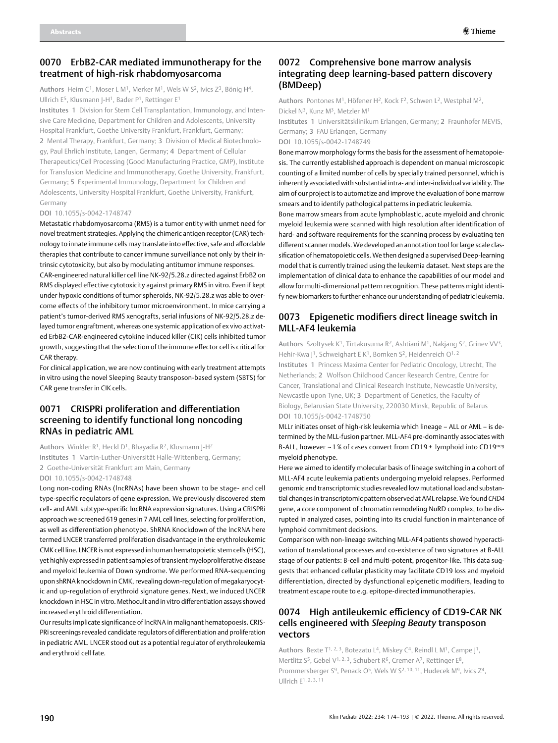### 0070 ErbB2-CAR mediated immunotherapy for the treatment of high-risk rhabdomyosarcoma

Authors Heim C<sup>1</sup>, Moser L M<sup>1</sup>, Merker M<sup>1</sup>, Wels W S<sup>2</sup>, Ivics Z<sup>3</sup>, Bönig H<sup>4</sup>, Ullrich E<sup>5</sup>, Klusmann J-H<sup>1</sup>, Bader P<sup>1</sup>, Rettinger E<sup>1</sup>

Institutes 1 Division for Stem Cell Transplantation, Immunology, and Intensive Care Medicine, Department for Children and Adolescents, University Hospital Frankfurt, Goethe University Frankfurt, Frankfurt, Germany; 2 Mental Therapy, Frankfurt, Germany; 3 Division of Medical Biotechnology, Paul Ehrlich Institute, Langen, Germany; 4 Department of Cellular Therapeutics/Cell Processing (Good Manufacturing Practice, GMP), Institute for Transfusion Medicine and Immunotherapy, Goethe University, Frankfurt, Germany; 5 Experimental Immunology, Department for Children and Adolescents, University Hospital Frankfurt, Goethe University, Frankfurt, Germany

#### DOI 10.1055/s-0042-1748747

Metastatic rhabdomyosarcoma (RMS) is a tumor entity with unmet need for novel treatment strategies. Applying the chimeric antigen receptor (CAR) technology to innate immune cells may translate into effective, safe and affordable therapies that contribute to cancer immune surveillance not only by their intrinsic cytotoxicity, but also by modulating antitumor immune responses.

CAR-engineered natural killer cell line NK-92/5.28.z directed against ErbB2 on RMS displayed effective cytotoxicity against primary RMS in vitro. Even if kept under hypoxic conditions of tumor spheroids, NK-92/5.28.z was able to overcome effects of the inhibitory tumor microenvironment. In mice carrying a patient's tumor-derived RMS xenografts, serial infusions of NK-92/5.28.z delayed tumor engraftment, whereas one systemic application of ex vivo activated ErbB2-CAR-engineered cytokine induced killer (CIK) cells inhibited tumor growth, suggesting that the selection of the immune effector cell is critical for CAR therapy.

For clinical application, we are now continuing with early treatment attempts in vitro using the novel Sleeping Beauty transposon-based system (SBTS) for CAR gene transfer in CIK cells.

### 0071 CRISPRi proliferation and differentiation screening to identify functional long noncoding RNAs in pediatric AML

Authors Winkler R<sup>1</sup>, Heckl D<sup>1</sup>, Bhayadia R<sup>2</sup>, Klusmann J-H<sup>2</sup> Institutes 1 Martin-Luther-Universität Halle-Wittenberg, Germany; 2 Goethe-Universität Frankfurt am Main, Germany DOI 10.1055/s-0042-1748748

Long non-coding RNAs (lncRNAs) have been shown to be stage- and cell type-specific regulators of gene expression. We previously discovered stem cell- and AML subtype-specific lncRNA expression signatures. Using a CRISPRi approach we screened 619 genes in 7 AML cell lines, selecting for proliferation, as well as differentiation phenotype. ShRNA Knockdown of the lncRNA here termed LNCER transferred proliferation disadvantage in the erythroleukemic CMK cell line. LNCER is not expressed in human hematopoietic stem cells (HSC), yet highly expressed in patient samples of transient myeloproliferative disease and myeloid leukemia of Down syndrome. We performed RNA-sequencing upon shRNA knockdown in CMK, revealing down-regulation of megakaryocytic and up-regulation of erythroid signature genes. Next, we induced LNCER knockdown in HSC in vitro. Methocult and in vitro differentiation assays showed increased erythroid differentiation.

Our results implicate significance of lncRNA in malignant hematopoesis. CRIS-PRi screenings revealed candidate regulators of differentiation and proliferation in pediatric AML. LNCER stood out as a potential regulator of erythroleukemia and erythroid cell fate.

# 0072 Comprehensive bone marrow analysis integrating deep learning-based pattern discovery (BMDeep)

Authors Pontones M1, Höfener H2, Kock F2, Schwen L2, Westphal M2, Dickel N<sup>3</sup>, Kunz M<sup>3</sup>, Metzler M<sup>1</sup>

Institutes 1 Universitätsklinikum Erlangen, Germany; 2 Fraunhofer MEVIS, Germany; 3 FAU Erlangen, Germany DOI 10.1055/s-0042-1748749

Bone marrow morphology forms the basis for the assessment of hematopoiesis. The currently established approach is dependent on manual microscopic counting of a limited number of cells by specially trained personnel, which is inherently associated with substantial intra- and inter-individual variability. The aim of our project is to automatize and improve the evaluation of bone marrow smears and to identify pathological patterns in pediatric leukemia.

Bone marrow smears from acute lymphoblastic, acute myeloid and chronic myeloid leukemia were scanned with high resolution after identification of hard- and software requirements for the scanning process by evaluating ten different scanner models. We developed an annotation tool for large scale classification of hematopoietic cells. We then designed a supervised Deep-learning model that is currently trained using the leukemia dataset. Next steps are the implementation of clinical data to enhance the capabilities of our model and allow for multi-dimensional pattern recognition. These patterns might identify new biomarkers to further enhance our understanding of pediatric leukemia.

# 0073 Epigenetic modifiers direct lineage switch in MLL-AF4 leukemia

Authors Szoltysek K<sup>1</sup>, Tirtakusuma R<sup>2</sup>, Ashtiani M<sup>1</sup>, Nakjang S<sup>2</sup>, Grinev VV<sup>3</sup>, Hehir-Kwa |<sup>1</sup>, Schweighart E K<sup>1</sup>, Bomken S<sup>2</sup>, Heidenreich O<sup>1, 2</sup> Institutes 1 Princess Maxima Center for Pediatric Oncology, Utrecht, The Netherlands; 2 Wolfson Childhood Cancer Research Centre, Centre for Cancer, Translational and Clinical Research Institute, Newcastle University, Newcastle upon Tyne, UK; 3 Department of Genetics, the Faculty of Biology, Belarusian State University, 220030 Minsk, Republic of Belarus DOI 10.1055/s-0042-1748750

MLLr initiates onset of high-risk leukemia which lineage – ALL or AML – is determined by the MLL-fusion partner. MLL-AF4 pre-dominantly associates with B-ALL, however ~1 % of cases convert from CD19 + lymphoid into CD19neg myeloid phenotype.

Here we aimed to identify molecular basis of lineage switching in a cohort of MLL-AF4 acute leukemia patients undergoing myeloid relapses. Performed genomic and transcriptomic studies revealed low mutational load and substantial changes in transcriptomic pattern observed at AML relapse. We found *CHD4* gene, a core component of chromatin remodeling NuRD complex, to be disrupted in analyzed cases, pointing into its crucial function in maintenance of lymphoid commitment decisions.

Comparison with non-lineage switching MLL-AF4 patients showed hyperactivation of translational processes and co-existence of two signatures at B-ALL stage of our patients: B-cell and multi-potent, progenitor-like. This data suggests that enhanced cellular plasticity may facilitate CD19 loss and myeloid differentiation, directed by dysfunctional epigenetic modifiers, leading to treatment escape route to e.g. epitope-directed immunotherapies.

# 0074 High antileukemic efficiency of CD19-CAR NK cells engineered with *Sleeping Beauty* transposon vectors

Authors Bexte  $T^{1, 2, 3}$ , Botezatu L<sup>4</sup>, Miskey C<sup>4</sup>, Reindl L M<sup>1</sup>, Campe  $]^{1}$ , Mertlitz S<sup>5</sup>, Gebel V<sup>1, 2, 3</sup>, Schubert R<sup>6</sup>, Cremer A<sup>7</sup>, Rettinger E<sup>8</sup>, Prommersberger S<sup>9</sup>, Penack O<sup>5</sup>, Wels W S<sup>2, 10, 11</sup>, Hudecek M<sup>9</sup>, Ivics Z<sup>4</sup>, Ullrich E1, 2, 3, 11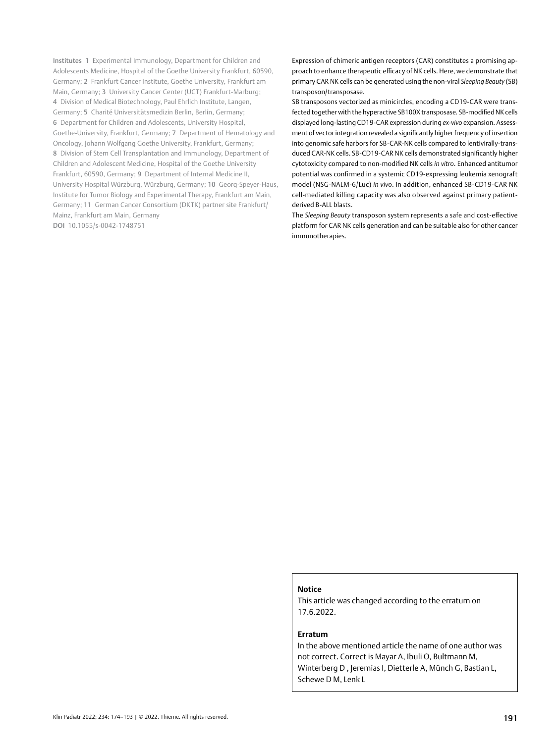Institutes 1 Experimental Immunology, Department for Children and Adolescents Medicine, Hospital of the Goethe University Frankfurt, 60590, Germany; 2 Frankfurt Cancer Institute, Goethe University, Frankfurt am Main, Germany; 3 University Cancer Center (UCT) Frankfurt-Marburg; 4 Division of Medical Biotechnology, Paul Ehrlich Institute, Langen, Germany; 5 Charité Universitätsmedizin Berlin, Berlin, Germany; 6 Department for Children and Adolescents, University Hospital, Goethe-University, Frankfurt, Germany; 7 Department of Hematology and Oncology, Johann Wolfgang Goethe University, Frankfurt, Germany; 8 Division of Stem Cell Transplantation and Immunology, Department of Children and Adolescent Medicine, Hospital of the Goethe University Frankfurt, 60590, Germany; 9 Department of Internal Medicine II, University Hospital Würzburg, Würzburg, Germany; 10 Georg-Speyer-Haus, Institute for Tumor Biology and Experimental Therapy, Frankfurt am Main, Germany; 11 German Cancer Consortium (DKTK) partner site Frankfurt/ Mainz, Frankfurt am Main, Germany DOI 10.1055/s-0042-1748751

Expression of chimeric antigen receptors (CAR) constitutes a promising approach to enhance therapeutic efficacy of NK cells. Here, we demonstrate that primary CAR NK cells can be generated using the non-viral *Sleeping Beauty* (SB) transposon/transposase.

SB transposons vectorized as minicircles, encoding a CD19-CAR were transfected together with the hyperactive SB100X transposase. SB-modified NK cells displayed long-lasting CD19-CAR expression during *ex-vivo* expansion. Assessment of vector integration revealed a significantly higher frequency of insertion into genomic safe harbors for SB-CAR-NK cells compared to lentivirally-transduced CAR-NK cells. SB-CD19-CAR NK cells demonstrated significantly higher cytotoxicity compared to non-modified NK cells *in vitro*. Enhanced antitumor potential was confirmed in a systemic CD19-expressing leukemia xenograft model (NSG-NALM-6/Luc) *in vivo*. In addition, enhanced SB-CD19-CAR NK cell-mediated killing capacity was also observed against primary patientderived B-ALL blasts.

The *Sleeping Beauty* transposon system represents a safe and cost-effective platform for CAR NK cells generation and can be suitable also for other cancer immunotherapies.

#### **Notice**

This article was changed according to the erratum on 17.6.2022.

#### **Erratum**

In the above mentioned article the name of one author was not correct. Correct is Mayar A, Ibuli O, Bultmann M, Winterberg D , Jeremias I, Dietterle A, Münch G, Bastian L, Schewe D M, Lenk L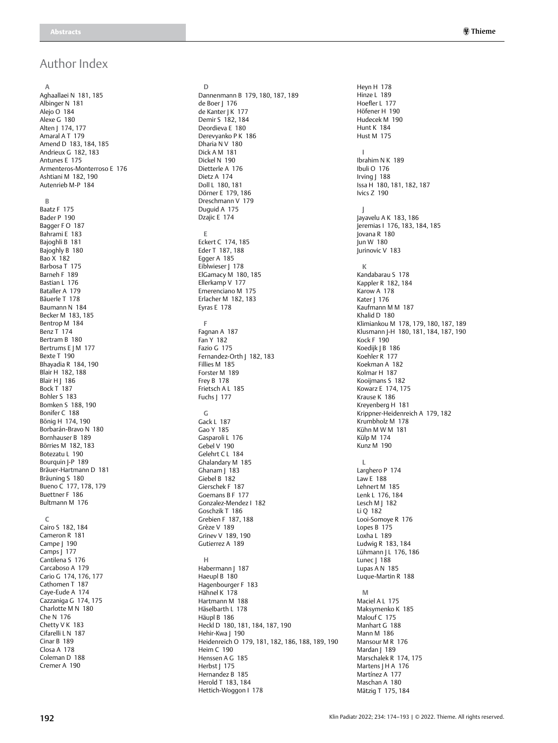# Author Index

**A** Aghaallaei N 181, 185 Albinger N 181 Alejo O 184 Alexe G 180 Alten | 174, 177 Amaral A T 179 Amend D 183, 184, 185 Andrieux G 182, 183 Antunes E 175 Armenteros-Monterroso E 176 Ashtiani M 182, 190 Autenrieb M-P 184 **B** Baatz F 175 Bader P 190 Bagger F O 187 Bahrami E 183 Bajoghli B 181 Bajoghly B 180 Bao X 182 Barbosa T 175 Barneh F 189 Bastian L 176 Bataller A 179 Bäuerle T 178 Baumann N 184 Becker M 183, 185 Bentrop M 184 Benz T<sup>174</sup> Bertram B 180 Bertrums E J M 177 Bexte T 190 Bhayadia R 184, 190 Blair H 182, 188 **Blair H | 186** Bock T 187 Bohler S 183 Bomken S 188, 190 Bonifer C 188 Bönig H 174, 190 Borbarán-Bravo N 180 Bornhauser B 189 Börries M 182, 183 Botezatu L 190 Bourquin J-P 189 Bräuer-Hartmann D 181 Bräuning S 180 Bueno C 177, 178, 179 Buettner F 186 Bultmann M 176 **C** Cairo S 182, 184 Cameron R 181 Campe | 190

Camps J 177 Cantilena S 176 Carcaboso A 179 Cario G 174, 176, 177 Cathomen T 187 Caye-Eude A 174 Cazzaniga G 174, 175 Charlotte M N 180 Che N 176 Chetty V K 183 Cifarelli L N 187 Cinar B 189 Closa A 178 Coleman D 188 Cremer A 190

**D** Dannenmann B 179, 180, 187, 189 de Boer | 176 de Kanter | K 177 Demir S 182, 184 Deordieva E 180 Derevyanko P K 186 Dharia N V 180 Dick A M 181 Dickel N 190 Dietterle A 176 Dietz A 174 Doll L 180, 181 Dörner E 179, 186 Dreschmann V 179 Duguid A 175 Dzajic E 174 **E** Eckert C 174, 185 Eder T 187, 188 Egger A 185 Eiblwieser J 178 ElGamacy M 180, 185 Ellerkamp V 177 Emerenciano M 175 Erlacher M 182, 183 Eyras E 178 **F** Fagnan A 187 Fan Y 182 Fazio G 175 Fernandez-Orth | 182, 183 Fillies M 185 Forster M 189 Frey B 178 Frietsch A L 185 Fuchs J 177 **G** Gack L 187 Gao Y 185 Gasparoli L 176 Gebel V 190 Gelehrt C L 184 Ghalandary M 185 Ghanam | 183 Giebel B 182 Gierschek F 187 Goemans B F 177 Gonzalez-Mendez I 182 Goschzik T 186 Grebien F 187, 188 Grèze V 189 Grinev V 189, 190 Gutierrez A 189 **H** Habermann J 187 Haeupl B 180 Hagenbourger F 183 Hähnel K 178 Hartmann M 188 Häselbarth L 178 Häupl B 186 Heckl D 180, 181, 184, 187, 190 Hehir-Kwa J 190 Heidenreich O 179, 181, 182, 186, 188, 189, 190 Heim C 190 Henssen A G 185 Herbst | 175 Hernandez B 185 Herold T 183, 184 Hettich-Woggon I 178

Heyn H 178 Hinze L 189 Hoefler L 177 Höfener H 190 Hudecek M 190 Hunt K  $184$ Hust M 175 **I** Ibrahim N K 189 Ibuli O 176 Irving | 188 Issa H 180, 181, 182, 187 Ivics Z 190 **J** Jayavelu A K 183, 186 Jeremias I 176, 183, 184, 185 Jovana R 180 Jun W 180 Jurinovic V 183 **K** Kandabarau S 178 Kappler R 182, 184 Karow A 178 Kater J 176 Kaufmann M M 187 Khalid D 180 Klimiankou M 178, 179, 180, 187, 189 Klusmann J-H 180, 181, 184, 187, 190 Kock F 190 Koedijk J B 186 Koehler R 177 Koekman A 182 Kolmar H 187 Kooijmans S 182 Kowarz E 174, 175 Krause K 186 Kreyenberg H 181 Krippner-Heidenreich A 179, 182 Krumbholz M 178 Kühn M W M 181 Külp M 174 Kunz M 190 **L** Larghero P 174 Law E 188 Lehnert M 185 Lenk L 176, 184 Lesch M  $\vert$  182 Li Q 182 Looi-Somoye R 176 Lopes B 175 Loxha L 189 Ludwig R 183, 184 Lühmann J L 176, 186 Lunec | 188 Lupas A N 185 Luque-Martin R 188 **M** Maciel A L 175 Maksymenko K 185 Malouf C 175 Manhart G 188 Mann M 186 Mansour M R 176 Mardan J 189 Marschalek R 174, 175 Martens | H A 176 Martínez A 177 Maschan A 180 Mätzig T 175, 184